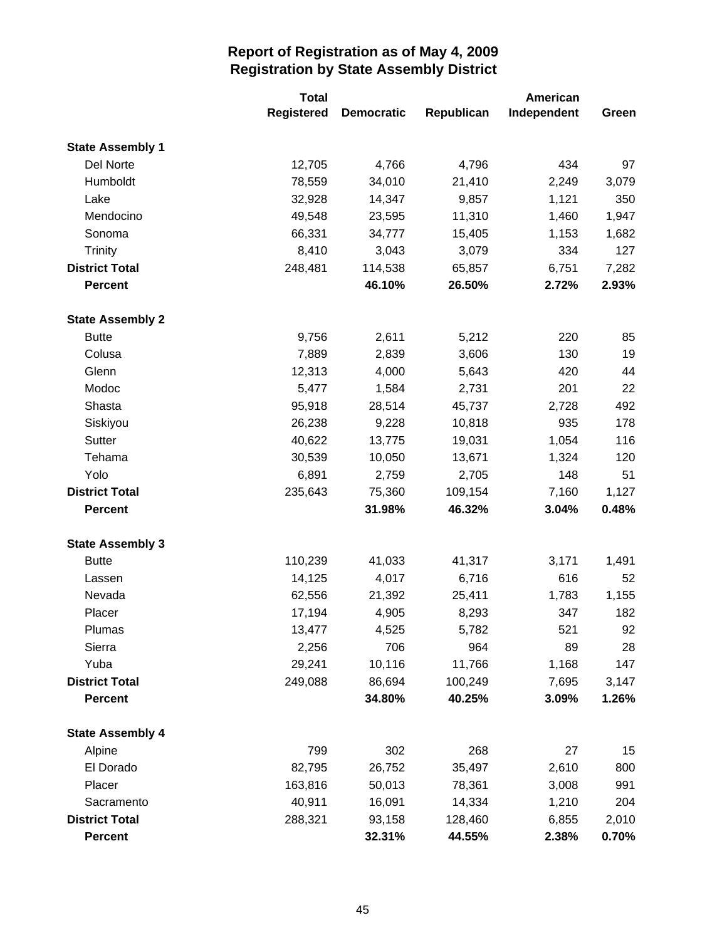|                         | <b>Total</b>      |                   |            | American    |       |
|-------------------------|-------------------|-------------------|------------|-------------|-------|
|                         | <b>Registered</b> | <b>Democratic</b> | Republican | Independent | Green |
| <b>State Assembly 1</b> |                   |                   |            |             |       |
| Del Norte               | 12,705            | 4,766             | 4,796      | 434         | 97    |
| Humboldt                | 78,559            | 34,010            | 21,410     | 2,249       | 3,079 |
| Lake                    | 32,928            | 14,347            | 9,857      | 1,121       | 350   |
| Mendocino               | 49,548            | 23,595            | 11,310     | 1,460       | 1,947 |
| Sonoma                  | 66,331            | 34,777            | 15,405     | 1,153       | 1,682 |
| <b>Trinity</b>          | 8,410             | 3,043             | 3,079      | 334         | 127   |
| <b>District Total</b>   | 248,481           | 114,538           | 65,857     | 6,751       | 7,282 |
| <b>Percent</b>          |                   | 46.10%            | 26.50%     | 2.72%       | 2.93% |
| <b>State Assembly 2</b> |                   |                   |            |             |       |
| <b>Butte</b>            | 9,756             | 2,611             | 5,212      | 220         | 85    |
| Colusa                  | 7,889             | 2,839             | 3,606      | 130         | 19    |
| Glenn                   | 12,313            | 4,000             | 5,643      | 420         | 44    |
| Modoc                   | 5,477             | 1,584             | 2,731      | 201         | 22    |
| Shasta                  | 95,918            | 28,514            | 45,737     | 2,728       | 492   |
| Siskiyou                | 26,238            | 9,228             | 10,818     | 935         | 178   |
| Sutter                  | 40,622            | 13,775            | 19,031     | 1,054       | 116   |
| Tehama                  | 30,539            | 10,050            | 13,671     | 1,324       | 120   |
| Yolo                    | 6,891             | 2,759             | 2,705      | 148         | 51    |
| <b>District Total</b>   | 235,643           | 75,360            | 109,154    | 7,160       | 1,127 |
| <b>Percent</b>          |                   | 31.98%            | 46.32%     | 3.04%       | 0.48% |
| <b>State Assembly 3</b> |                   |                   |            |             |       |
| <b>Butte</b>            | 110,239           | 41,033            | 41,317     | 3,171       | 1,491 |
| Lassen                  | 14,125            | 4,017             | 6,716      | 616         | 52    |
| Nevada                  | 62,556            | 21,392            | 25,411     | 1,783       | 1,155 |
| Placer                  | 17,194            | 4,905             | 8,293      | 347         | 182   |
| Plumas                  | 13,477            | 4,525             | 5,782      | 521         | 92    |
| Sierra                  | 2,256             | 706               | 964        | 89          | 28    |
| Yuba                    | 29,241            | 10,116            | 11,766     | 1,168       | 147   |
| <b>District Total</b>   | 249,088           | 86,694            | 100,249    | 7,695       | 3,147 |
| <b>Percent</b>          |                   | 34.80%            | 40.25%     | 3.09%       | 1.26% |
| <b>State Assembly 4</b> |                   |                   |            |             |       |
| Alpine                  | 799               | 302               | 268        | 27          | 15    |
| El Dorado               | 82,795            | 26,752            | 35,497     | 2,610       | 800   |
| Placer                  | 163,816           | 50,013            | 78,361     | 3,008       | 991   |
| Sacramento              | 40,911            | 16,091            | 14,334     | 1,210       | 204   |
| <b>District Total</b>   | 288,321           | 93,158            | 128,460    | 6,855       | 2,010 |
| <b>Percent</b>          |                   | 32.31%            | 44.55%     | 2.38%       | 0.70% |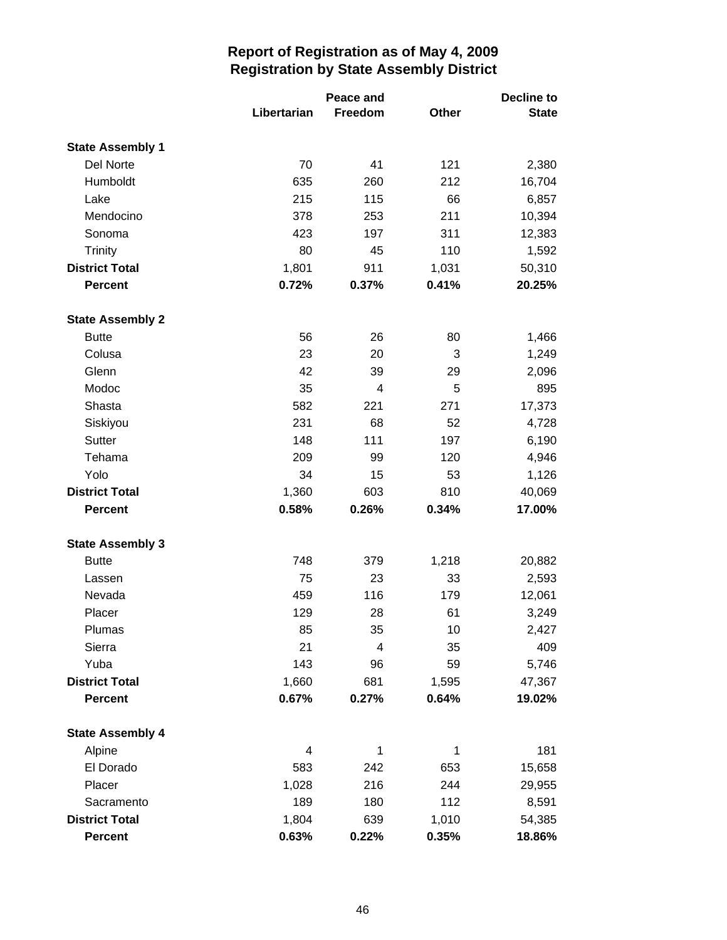|                         | Peace and   |         |       | Decline to   |  |
|-------------------------|-------------|---------|-------|--------------|--|
|                         | Libertarian | Freedom | Other | <b>State</b> |  |
| <b>State Assembly 1</b> |             |         |       |              |  |
| Del Norte               | 70          | 41      | 121   | 2,380        |  |
| Humboldt                | 635         | 260     | 212   | 16,704       |  |
| Lake                    | 215         | 115     | 66    | 6,857        |  |
| Mendocino               | 378         | 253     | 211   | 10,394       |  |
| Sonoma                  | 423         | 197     | 311   | 12,383       |  |
| <b>Trinity</b>          | 80          | 45      | 110   | 1,592        |  |
| <b>District Total</b>   | 1,801       | 911     | 1,031 | 50,310       |  |
| <b>Percent</b>          | 0.72%       | 0.37%   | 0.41% | 20.25%       |  |
| <b>State Assembly 2</b> |             |         |       |              |  |
| <b>Butte</b>            | 56          | 26      | 80    | 1,466        |  |
| Colusa                  | 23          | 20      | 3     | 1,249        |  |
| Glenn                   | 42          | 39      | 29    | 2,096        |  |
| Modoc                   | 35          | 4       | 5     | 895          |  |
| Shasta                  | 582         | 221     | 271   | 17,373       |  |
| Siskiyou                | 231         | 68      | 52    | 4,728        |  |
| Sutter                  | 148         | 111     | 197   | 6,190        |  |
| Tehama                  | 209         | 99      | 120   | 4,946        |  |
| Yolo                    | 34          | 15      | 53    | 1,126        |  |
| <b>District Total</b>   | 1,360       | 603     | 810   | 40,069       |  |
| <b>Percent</b>          | 0.58%       | 0.26%   | 0.34% | 17.00%       |  |
| <b>State Assembly 3</b> |             |         |       |              |  |
| <b>Butte</b>            | 748         | 379     | 1,218 | 20,882       |  |
| Lassen                  | 75          | 23      | 33    | 2,593        |  |
| Nevada                  | 459         | 116     | 179   | 12,061       |  |
| Placer                  | 129         | 28      | 61    | 3,249        |  |
| Plumas                  | 85          | 35      | 10    | 2,427        |  |
| Sierra                  | 21          | 4       | 35    | 409          |  |
| Yuba                    | 143         | 96      | 59    | 5,746        |  |
| <b>District Total</b>   | 1,660       | 681     | 1,595 | 47,367       |  |
| Percent                 | 0.67%       | 0.27%   | 0.64% | 19.02%       |  |
| <b>State Assembly 4</b> |             |         |       |              |  |
| Alpine                  | 4           | 1       | 1     | 181          |  |
| El Dorado               | 583         | 242     | 653   | 15,658       |  |
| Placer                  | 1,028       | 216     | 244   | 29,955       |  |
| Sacramento              | 189         | 180     | 112   | 8,591        |  |
| <b>District Total</b>   | 1,804       | 639     | 1,010 | 54,385       |  |
| <b>Percent</b>          | 0.63%       | 0.22%   | 0.35% | 18.86%       |  |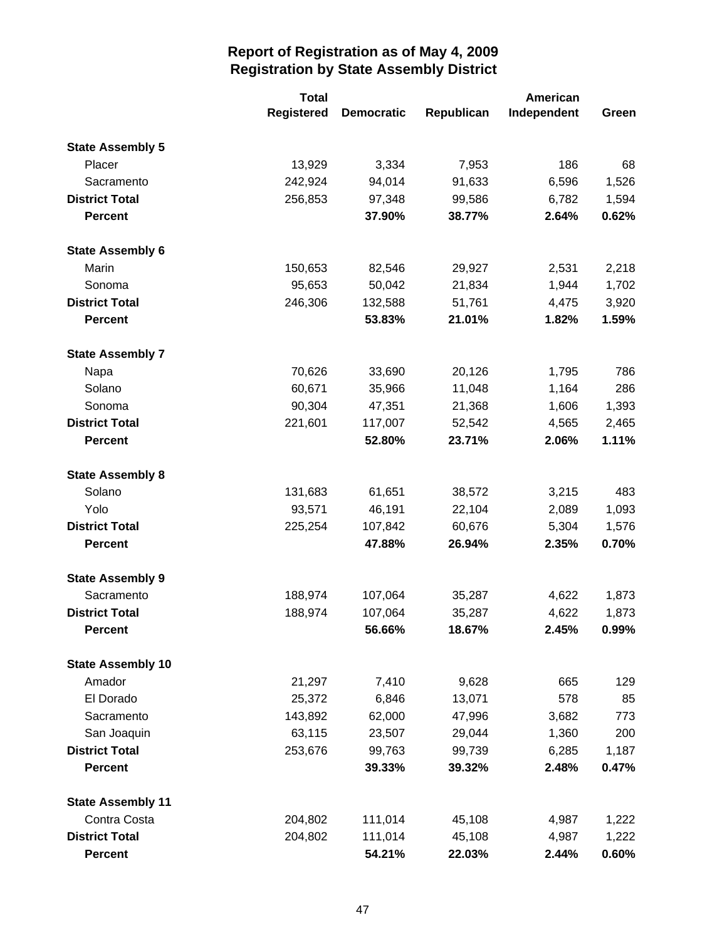|                          | <b>Total</b> | American          |            |             |          |
|--------------------------|--------------|-------------------|------------|-------------|----------|
|                          | Registered   | <b>Democratic</b> | Republican | Independent | Green    |
| <b>State Assembly 5</b>  |              |                   |            |             |          |
| Placer                   | 13,929       | 3,334             | 7,953      | 186         | 68       |
| Sacramento               | 242,924      | 94,014            | 91,633     | 6,596       | 1,526    |
| <b>District Total</b>    | 256,853      | 97,348            | 99,586     | 6,782       | 1,594    |
| <b>Percent</b>           |              | 37.90%            | 38.77%     | 2.64%       | 0.62%    |
| <b>State Assembly 6</b>  |              |                   |            |             |          |
| Marin                    | 150,653      | 82,546            | 29,927     | 2,531       | 2,218    |
| Sonoma                   | 95,653       | 50,042            | 21,834     | 1,944       | 1,702    |
| <b>District Total</b>    | 246,306      | 132,588           | 51,761     | 4,475       | 3,920    |
| <b>Percent</b>           |              | 53.83%            | 21.01%     | 1.82%       | 1.59%    |
| <b>State Assembly 7</b>  |              |                   |            |             |          |
| Napa                     | 70,626       | 33,690            | 20,126     | 1,795       | 786      |
| Solano                   | 60,671       | 35,966            | 11,048     | 1,164       | 286      |
| Sonoma                   | 90,304       | 47,351            | 21,368     | 1,606       | 1,393    |
| <b>District Total</b>    | 221,601      | 117,007           | 52,542     | 4,565       | 2,465    |
| <b>Percent</b>           |              | 52.80%            | 23.71%     | 2.06%       | 1.11%    |
| <b>State Assembly 8</b>  |              |                   |            |             |          |
| Solano                   | 131,683      | 61,651            | 38,572     | 3,215       | 483      |
| Yolo                     | 93,571       | 46,191            | 22,104     | 2,089       | 1,093    |
| <b>District Total</b>    | 225,254      | 107,842           | 60,676     | 5,304       | 1,576    |
| <b>Percent</b>           |              | 47.88%            | 26.94%     | 2.35%       | 0.70%    |
| <b>State Assembly 9</b>  |              |                   |            |             |          |
| Sacramento               | 188,974      | 107,064           | 35,287     | 4,622       | 1,873    |
| <b>District Total</b>    | 188,974      | 107,064           | 35,287     | 4,622       | 1,873    |
| <b>Percent</b>           |              | 56.66%            | 18.67%     | 2.45%       | $0.99\%$ |
| <b>State Assembly 10</b> |              |                   |            |             |          |
| Amador                   | 21,297       | 7,410             | 9,628      | 665         | 129      |
| El Dorado                | 25,372       | 6,846             | 13,071     | 578         | 85       |
| Sacramento               | 143,892      | 62,000            | 47,996     | 3,682       | 773      |
| San Joaquin              | 63,115       | 23,507            | 29,044     | 1,360       | 200      |
| <b>District Total</b>    | 253,676      | 99,763            | 99,739     | 6,285       | 1,187    |
| <b>Percent</b>           |              | 39.33%            | 39.32%     | 2.48%       | 0.47%    |
| <b>State Assembly 11</b> |              |                   |            |             |          |
| Contra Costa             | 204,802      | 111,014           | 45,108     | 4,987       | 1,222    |
| <b>District Total</b>    | 204,802      | 111,014           | 45,108     | 4,987       | 1,222    |
| <b>Percent</b>           |              | 54.21%            | 22.03%     | 2.44%       | 0.60%    |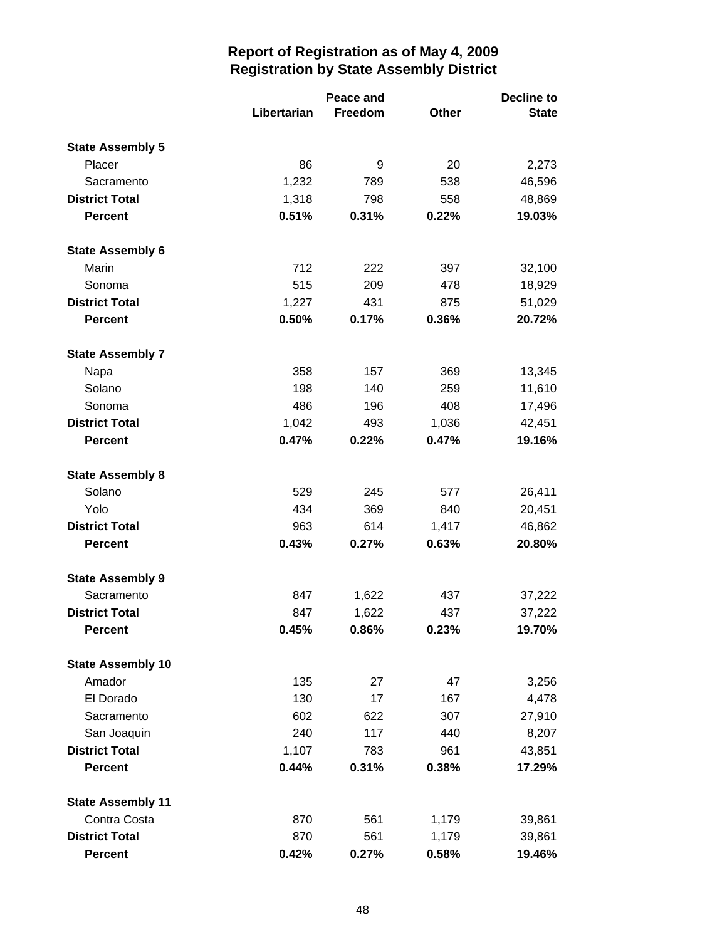|                          |             | Peace and |              | <b>Decline to</b> |  |
|--------------------------|-------------|-----------|--------------|-------------------|--|
|                          | Libertarian | Freedom   | <b>Other</b> | <b>State</b>      |  |
| <b>State Assembly 5</b>  |             |           |              |                   |  |
| Placer                   | 86          | 9         | 20           | 2,273             |  |
| Sacramento               | 1,232       | 789       | 538          | 46,596            |  |
| <b>District Total</b>    | 1,318       | 798       | 558          | 48,869            |  |
| <b>Percent</b>           | 0.51%       | 0.31%     | 0.22%        | 19.03%            |  |
| <b>State Assembly 6</b>  |             |           |              |                   |  |
| Marin                    | 712         | 222       | 397          | 32,100            |  |
| Sonoma                   | 515         | 209       | 478          | 18,929            |  |
| <b>District Total</b>    | 1,227       | 431       | 875          | 51,029            |  |
| <b>Percent</b>           | 0.50%       | 0.17%     | 0.36%        | 20.72%            |  |
| <b>State Assembly 7</b>  |             |           |              |                   |  |
| Napa                     | 358         | 157       | 369          | 13,345            |  |
| Solano                   | 198         | 140       | 259          | 11,610            |  |
| Sonoma                   | 486         | 196       | 408          | 17,496            |  |
| <b>District Total</b>    | 1,042       | 493       | 1,036        | 42,451            |  |
| <b>Percent</b>           | 0.47%       | 0.22%     | 0.47%        | 19.16%            |  |
| <b>State Assembly 8</b>  |             |           |              |                   |  |
| Solano                   | 529         | 245       | 577          | 26,411            |  |
| Yolo                     | 434         | 369       | 840          | 20,451            |  |
| <b>District Total</b>    | 963         | 614       | 1,417        | 46,862            |  |
| <b>Percent</b>           | 0.43%       | 0.27%     | 0.63%        | 20.80%            |  |
| <b>State Assembly 9</b>  |             |           |              |                   |  |
| Sacramento               | 847         | 1,622     | 437          | 37,222            |  |
| <b>District Total</b>    | 847         | 1,622     | 437          | 37,222            |  |
| <b>Percent</b>           | 0.45%       | 0.86%     | 0.23%        | 19.70%            |  |
| <b>State Assembly 10</b> |             |           |              |                   |  |
| Amador                   | 135         | 27        | 47           | 3,256             |  |
| El Dorado                | 130         | 17        | 167          | 4,478             |  |
| Sacramento               | 602         | 622       | 307          | 27,910            |  |
| San Joaquin              | 240         | 117       | 440          | 8,207             |  |
| <b>District Total</b>    | 1,107       | 783       | 961          | 43,851            |  |
| <b>Percent</b>           | 0.44%       | 0.31%     | 0.38%        | 17.29%            |  |
| <b>State Assembly 11</b> |             |           |              |                   |  |
| Contra Costa             | 870         | 561       | 1,179        | 39,861            |  |
| <b>District Total</b>    | 870         | 561       | 1,179        | 39,861            |  |
| <b>Percent</b>           | 0.42%       | 0.27%     | 0.58%        | 19.46%            |  |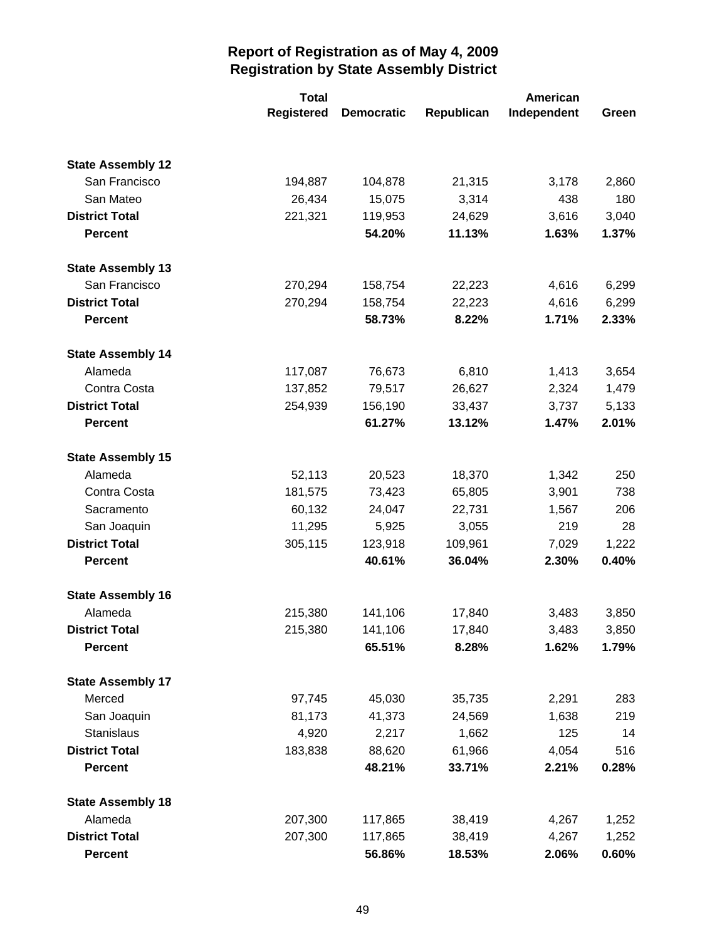|                          | <b>Total</b>      |                   |            | American    |       |  |
|--------------------------|-------------------|-------------------|------------|-------------|-------|--|
|                          | <b>Registered</b> | <b>Democratic</b> | Republican | Independent | Green |  |
|                          |                   |                   |            |             |       |  |
| <b>State Assembly 12</b> |                   |                   |            |             |       |  |
| San Francisco            | 194,887           | 104,878           | 21,315     | 3,178       | 2,860 |  |
| San Mateo                | 26,434            | 15,075            | 3,314      | 438         | 180   |  |
| <b>District Total</b>    | 221,321           | 119,953           | 24,629     | 3,616       | 3,040 |  |
| <b>Percent</b>           |                   | 54.20%            | 11.13%     | 1.63%       | 1.37% |  |
| <b>State Assembly 13</b> |                   |                   |            |             |       |  |
| San Francisco            | 270,294           | 158,754           | 22,223     | 4,616       | 6,299 |  |
| <b>District Total</b>    | 270,294           | 158,754           | 22,223     | 4,616       | 6,299 |  |
| <b>Percent</b>           |                   | 58.73%            | 8.22%      | 1.71%       | 2.33% |  |
| <b>State Assembly 14</b> |                   |                   |            |             |       |  |
| Alameda                  | 117,087           | 76,673            | 6,810      | 1,413       | 3,654 |  |
| Contra Costa             | 137,852           | 79,517            | 26,627     | 2,324       | 1,479 |  |
| <b>District Total</b>    | 254,939           | 156,190           | 33,437     | 3,737       | 5,133 |  |
| <b>Percent</b>           |                   | 61.27%            | 13.12%     | 1.47%       | 2.01% |  |
| <b>State Assembly 15</b> |                   |                   |            |             |       |  |
| Alameda                  | 52,113            | 20,523            | 18,370     | 1,342       | 250   |  |
| Contra Costa             | 181,575           | 73,423            | 65,805     | 3,901       | 738   |  |
| Sacramento               | 60,132            | 24,047            | 22,731     | 1,567       | 206   |  |
| San Joaquin              | 11,295            | 5,925             | 3,055      | 219         | 28    |  |
| <b>District Total</b>    | 305,115           | 123,918           | 109,961    | 7,029       | 1,222 |  |
| <b>Percent</b>           |                   | 40.61%            | 36.04%     | 2.30%       | 0.40% |  |
| <b>State Assembly 16</b> |                   |                   |            |             |       |  |
| Alameda                  | 215,380           | 141,106           | 17,840     | 3,483       | 3,850 |  |
| <b>District Total</b>    | 215,380           | 141,106           | 17,840     | 3,483       | 3,850 |  |
| <b>Percent</b>           |                   | 65.51%            | 8.28%      | 1.62%       | 1.79% |  |
| <b>State Assembly 17</b> |                   |                   |            |             |       |  |
| Merced                   | 97,745            | 45,030            | 35,735     | 2,291       | 283   |  |
| San Joaquin              | 81,173            | 41,373            | 24,569     | 1,638       | 219   |  |
| Stanislaus               | 4,920             | 2,217             | 1,662      | 125         | 14    |  |
| <b>District Total</b>    | 183,838           | 88,620            | 61,966     | 4,054       | 516   |  |
| <b>Percent</b>           |                   | 48.21%            | 33.71%     | 2.21%       | 0.28% |  |
| <b>State Assembly 18</b> |                   |                   |            |             |       |  |
| Alameda                  | 207,300           | 117,865           | 38,419     | 4,267       | 1,252 |  |
| <b>District Total</b>    | 207,300           | 117,865           | 38,419     | 4,267       | 1,252 |  |
| <b>Percent</b>           |                   | 56.86%            | 18.53%     | 2.06%       | 0.60% |  |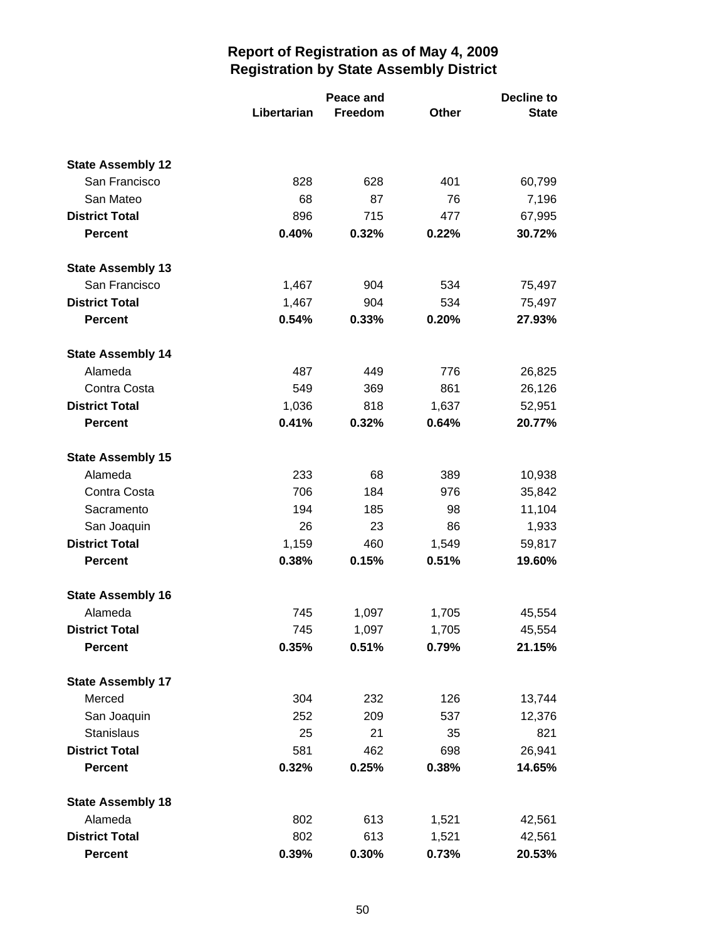|                          |             | Peace and      |              | <b>Decline to</b> |  |
|--------------------------|-------------|----------------|--------------|-------------------|--|
|                          | Libertarian | <b>Freedom</b> | <b>Other</b> | <b>State</b>      |  |
|                          |             |                |              |                   |  |
| <b>State Assembly 12</b> |             |                |              |                   |  |
| San Francisco            | 828         | 628            | 401          | 60,799            |  |
| San Mateo                | 68          | 87             | 76           | 7,196             |  |
| <b>District Total</b>    | 896         | 715            | 477          | 67,995            |  |
| <b>Percent</b>           | 0.40%       | 0.32%          | 0.22%        | 30.72%            |  |
| <b>State Assembly 13</b> |             |                |              |                   |  |
| San Francisco            | 1,467       | 904            | 534          | 75,497            |  |
| <b>District Total</b>    | 1,467       | 904            | 534          | 75,497            |  |
| <b>Percent</b>           | 0.54%       | 0.33%          | 0.20%        | 27.93%            |  |
| <b>State Assembly 14</b> |             |                |              |                   |  |
| Alameda                  | 487         | 449            | 776          | 26,825            |  |
| Contra Costa             | 549         | 369            | 861          | 26,126            |  |
| <b>District Total</b>    | 1,036       | 818            | 1,637        | 52,951            |  |
| <b>Percent</b>           | 0.41%       | 0.32%          | 0.64%        | 20.77%            |  |
| <b>State Assembly 15</b> |             |                |              |                   |  |
| Alameda                  | 233         | 68             | 389          | 10,938            |  |
| Contra Costa             | 706         | 184            | 976          | 35,842            |  |
| Sacramento               | 194         | 185            | 98           | 11,104            |  |
| San Joaquin              | 26          | 23             | 86           | 1,933             |  |
| <b>District Total</b>    | 1,159       | 460            | 1,549        | 59,817            |  |
| <b>Percent</b>           | 0.38%       | 0.15%          | 0.51%        | 19.60%            |  |
| <b>State Assembly 16</b> |             |                |              |                   |  |
| Alameda                  | 745         | 1,097          | 1,705        | 45,554            |  |
| <b>District Total</b>    | 745         | 1,097          | 1,705        | 45,554            |  |
| <b>Percent</b>           | 0.35%       | 0.51%          | 0.79%        | 21.15%            |  |
| <b>State Assembly 17</b> |             |                |              |                   |  |
| Merced                   | 304         | 232            | 126          | 13,744            |  |
| San Joaquin              | 252         | 209            | 537          | 12,376            |  |
| Stanislaus               | 25          | 21             | 35           | 821               |  |
| <b>District Total</b>    | 581         | 462            | 698          | 26,941            |  |
| <b>Percent</b>           | 0.32%       | 0.25%          | 0.38%        | 14.65%            |  |
| <b>State Assembly 18</b> |             |                |              |                   |  |
| Alameda                  | 802         | 613            | 1,521        | 42,561            |  |
| <b>District Total</b>    | 802         | 613            | 1,521        | 42,561            |  |
| <b>Percent</b>           | 0.39%       | 0.30%          | 0.73%        | 20.53%            |  |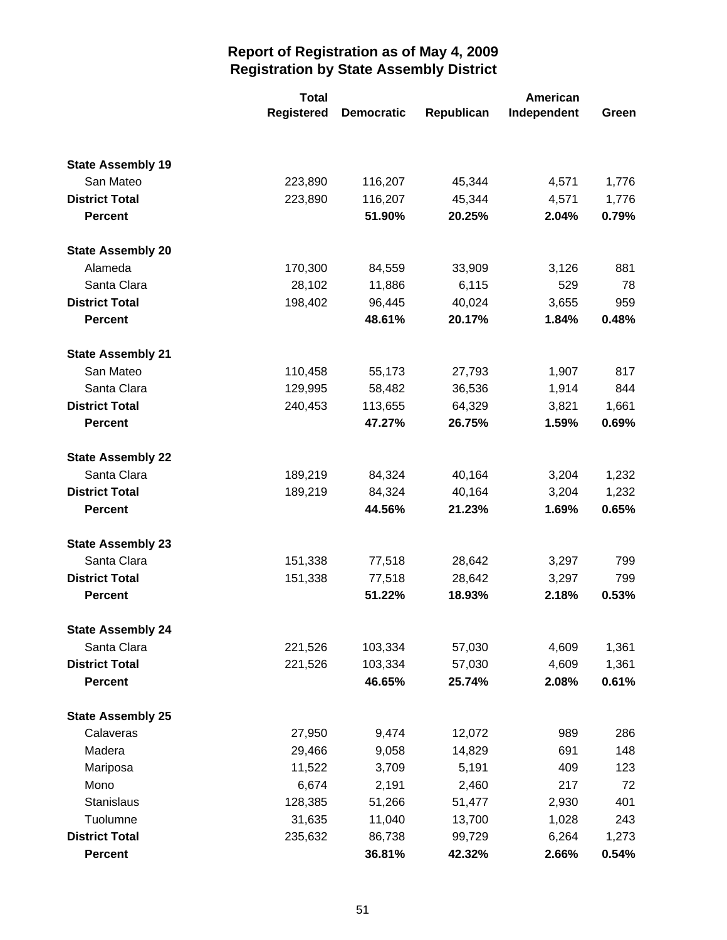|                          | <b>Total</b>      |                   |            | American    |       |
|--------------------------|-------------------|-------------------|------------|-------------|-------|
|                          | <b>Registered</b> | <b>Democratic</b> | Republican | Independent | Green |
|                          |                   |                   |            |             |       |
| <b>State Assembly 19</b> |                   |                   |            |             |       |
| San Mateo                | 223,890           | 116,207           | 45,344     | 4,571       | 1,776 |
| <b>District Total</b>    | 223,890           | 116,207           | 45,344     | 4,571       | 1,776 |
| <b>Percent</b>           |                   | 51.90%            | 20.25%     | 2.04%       | 0.79% |
| <b>State Assembly 20</b> |                   |                   |            |             |       |
| Alameda                  | 170,300           | 84,559            | 33,909     | 3,126       | 881   |
| Santa Clara              | 28,102            | 11,886            | 6,115      | 529         | 78    |
| <b>District Total</b>    | 198,402           | 96,445            | 40,024     | 3,655       | 959   |
| <b>Percent</b>           |                   | 48.61%            | 20.17%     | 1.84%       | 0.48% |
| <b>State Assembly 21</b> |                   |                   |            |             |       |
| San Mateo                | 110,458           | 55,173            | 27,793     | 1,907       | 817   |
| Santa Clara              | 129,995           | 58,482            | 36,536     | 1,914       | 844   |
| <b>District Total</b>    | 240,453           | 113,655           | 64,329     | 3,821       | 1,661 |
| <b>Percent</b>           |                   | 47.27%            | 26.75%     | 1.59%       | 0.69% |
| <b>State Assembly 22</b> |                   |                   |            |             |       |
| Santa Clara              | 189,219           | 84,324            | 40,164     | 3,204       | 1,232 |
| <b>District Total</b>    | 189,219           | 84,324            | 40,164     | 3,204       | 1,232 |
| <b>Percent</b>           |                   | 44.56%            | 21.23%     | 1.69%       | 0.65% |
| <b>State Assembly 23</b> |                   |                   |            |             |       |
| Santa Clara              | 151,338           | 77,518            | 28,642     | 3,297       | 799   |
| <b>District Total</b>    | 151,338           | 77,518            | 28,642     | 3,297       | 799   |
| <b>Percent</b>           |                   | 51.22%            | 18.93%     | 2.18%       | 0.53% |
| <b>State Assembly 24</b> |                   |                   |            |             |       |
| Santa Clara              | 221,526           | 103,334           | 57,030     | 4,609       | 1,361 |
| <b>District Total</b>    | 221,526           | 103,334           | 57,030     | 4,609       | 1,361 |
| <b>Percent</b>           |                   | 46.65%            | 25.74%     | 2.08%       | 0.61% |
| <b>State Assembly 25</b> |                   |                   |            |             |       |
| Calaveras                | 27,950            | 9,474             | 12,072     | 989         | 286   |
| Madera                   | 29,466            | 9,058             | 14,829     | 691         | 148   |
| Mariposa                 | 11,522            | 3,709             | 5,191      | 409         | 123   |
| Mono                     | 6,674             | 2,191             | 2,460      | 217         | 72    |
| Stanislaus               | 128,385           | 51,266            | 51,477     | 2,930       | 401   |
| Tuolumne                 | 31,635            | 11,040            | 13,700     | 1,028       | 243   |
| <b>District Total</b>    | 235,632           | 86,738            | 99,729     | 6,264       | 1,273 |
| Percent                  |                   | 36.81%            | 42.32%     | 2.66%       | 0.54% |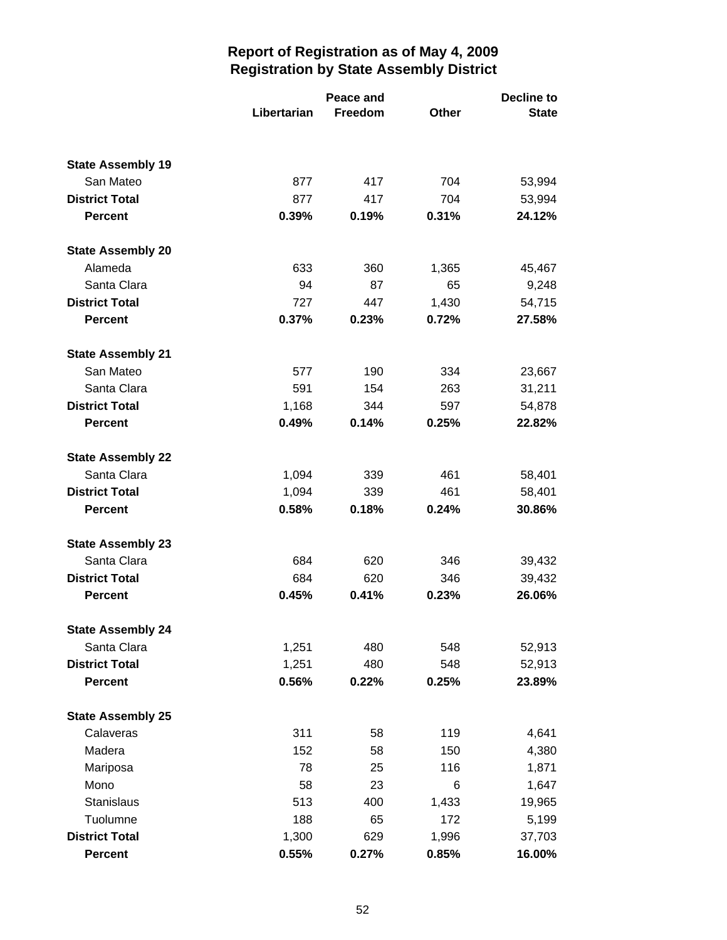|                          | Libertarian | Peace and<br>Freedom | <b>Other</b> | <b>Decline to</b><br><b>State</b> |
|--------------------------|-------------|----------------------|--------------|-----------------------------------|
|                          |             |                      |              |                                   |
| <b>State Assembly 19</b> |             |                      |              |                                   |
| San Mateo                | 877         | 417                  | 704          | 53,994                            |
| <b>District Total</b>    | 877         | 417                  | 704          | 53,994                            |
| <b>Percent</b>           | 0.39%       | 0.19%                | 0.31%        | 24.12%                            |
| <b>State Assembly 20</b> |             |                      |              |                                   |
| Alameda                  | 633         | 360                  | 1,365        | 45,467                            |
| Santa Clara              | 94          | 87                   | 65           | 9,248                             |
| <b>District Total</b>    | 727         | 447                  | 1,430        | 54,715                            |
| <b>Percent</b>           | 0.37%       | 0.23%                | 0.72%        | 27.58%                            |
| <b>State Assembly 21</b> |             |                      |              |                                   |
| San Mateo                | 577         | 190                  | 334          | 23,667                            |
| Santa Clara              | 591         | 154                  | 263          | 31,211                            |
| <b>District Total</b>    | 1,168       | 344                  | 597          | 54,878                            |
| <b>Percent</b>           | 0.49%       | 0.14%                | 0.25%        | 22.82%                            |
| <b>State Assembly 22</b> |             |                      |              |                                   |
| Santa Clara              | 1,094       | 339                  | 461          | 58,401                            |
| <b>District Total</b>    | 1,094       | 339                  | 461          | 58,401                            |
| <b>Percent</b>           | 0.58%       | 0.18%                | 0.24%        | 30.86%                            |
| <b>State Assembly 23</b> |             |                      |              |                                   |
| Santa Clara              | 684         | 620                  | 346          | 39,432                            |
| <b>District Total</b>    | 684         | 620                  | 346          | 39,432                            |
| <b>Percent</b>           | 0.45%       | 0.41%                | 0.23%        | 26.06%                            |
| <b>State Assembly 24</b> |             |                      |              |                                   |
| Santa Clara              | 1,251       | 480                  | 548          | 52,913                            |
| <b>District Total</b>    | 1,251       | 480                  | 548          | 52,913                            |
| <b>Percent</b>           | 0.56%       | 0.22%                | 0.25%        | 23.89%                            |
| <b>State Assembly 25</b> |             |                      |              |                                   |
| Calaveras                | 311         | 58                   | 119          | 4,641                             |
| Madera                   | 152         | 58                   | 150          | 4,380                             |
| Mariposa                 | 78          | 25                   | 116          | 1,871                             |
| Mono                     | 58          | 23                   | 6            | 1,647                             |
| Stanislaus               | 513         | 400                  | 1,433        | 19,965                            |
| Tuolumne                 | 188         | 65                   | 172          | 5,199                             |
| <b>District Total</b>    | 1,300       | 629                  | 1,996        | 37,703                            |
| <b>Percent</b>           | 0.55%       | 0.27%                | 0.85%        | 16.00%                            |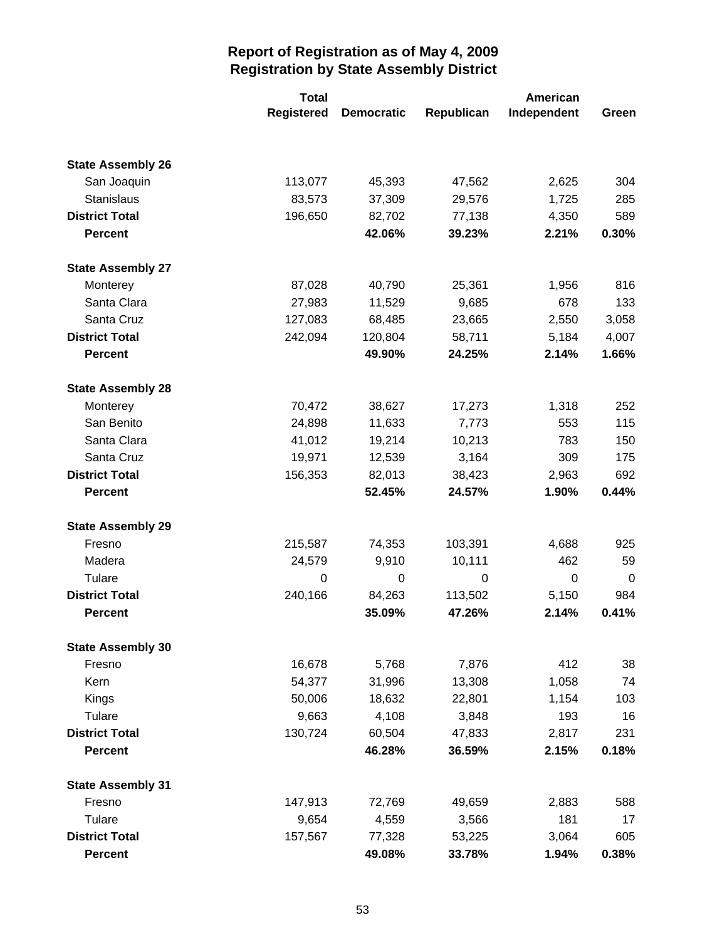|                          | <b>Total</b>      | American          |            |             |       |
|--------------------------|-------------------|-------------------|------------|-------------|-------|
|                          | <b>Registered</b> | <b>Democratic</b> | Republican | Independent | Green |
|                          |                   |                   |            |             |       |
| <b>State Assembly 26</b> |                   |                   |            |             |       |
| San Joaquin              | 113,077           | 45,393            | 47,562     | 2,625       | 304   |
| Stanislaus               | 83,573            | 37,309            | 29,576     | 1,725       | 285   |
| <b>District Total</b>    | 196,650           | 82,702            | 77,138     | 4,350       | 589   |
| <b>Percent</b>           |                   | 42.06%            | 39.23%     | 2.21%       | 0.30% |
| <b>State Assembly 27</b> |                   |                   |            |             |       |
| Monterey                 | 87,028            | 40,790            | 25,361     | 1,956       | 816   |
| Santa Clara              | 27,983            | 11,529            | 9,685      | 678         | 133   |
| Santa Cruz               | 127,083           | 68,485            | 23,665     | 2,550       | 3,058 |
| <b>District Total</b>    | 242,094           | 120,804           | 58,711     | 5,184       | 4,007 |
| <b>Percent</b>           |                   | 49.90%            | 24.25%     | 2.14%       | 1.66% |
| <b>State Assembly 28</b> |                   |                   |            |             |       |
| Monterey                 | 70,472            | 38,627            | 17,273     | 1,318       | 252   |
| San Benito               | 24,898            | 11,633            | 7,773      | 553         | 115   |
| Santa Clara              | 41,012            | 19,214            | 10,213     | 783         | 150   |
| Santa Cruz               | 19,971            | 12,539            | 3,164      | 309         | 175   |
| <b>District Total</b>    | 156,353           | 82,013            | 38,423     | 2,963       | 692   |
| <b>Percent</b>           |                   | 52.45%            | 24.57%     | 1.90%       | 0.44% |
| <b>State Assembly 29</b> |                   |                   |            |             |       |
| Fresno                   | 215,587           | 74,353            | 103,391    | 4,688       | 925   |
| Madera                   | 24,579            | 9,910             | 10,111     | 462         | 59    |
| Tulare                   | 0                 | 0                 | 0          | 0           | 0     |
| <b>District Total</b>    | 240,166           | 84,263            | 113,502    | 5,150       | 984   |
| <b>Percent</b>           |                   | 35.09%            | 47.26%     | 2.14%       | 0.41% |
| <b>State Assembly 30</b> |                   |                   |            |             |       |
| Fresno                   | 16,678            | 5,768             | 7,876      | 412         | 38    |
| Kern                     | 54,377            | 31,996            | 13,308     | 1,058       | 74    |
| Kings                    | 50,006            | 18,632            | 22,801     | 1,154       | 103   |
| Tulare                   | 9,663             | 4,108             | 3,848      | 193         | 16    |
| <b>District Total</b>    | 130,724           | 60,504            | 47,833     | 2,817       | 231   |
| <b>Percent</b>           |                   | 46.28%            | 36.59%     | 2.15%       | 0.18% |
| <b>State Assembly 31</b> |                   |                   |            |             |       |
| Fresno                   | 147,913           | 72,769            | 49,659     | 2,883       | 588   |
| Tulare                   | 9,654             | 4,559             | 3,566      | 181         | 17    |
| <b>District Total</b>    | 157,567           | 77,328            | 53,225     | 3,064       | 605   |
| Percent                  |                   | 49.08%            | 33.78%     | 1.94%       | 0.38% |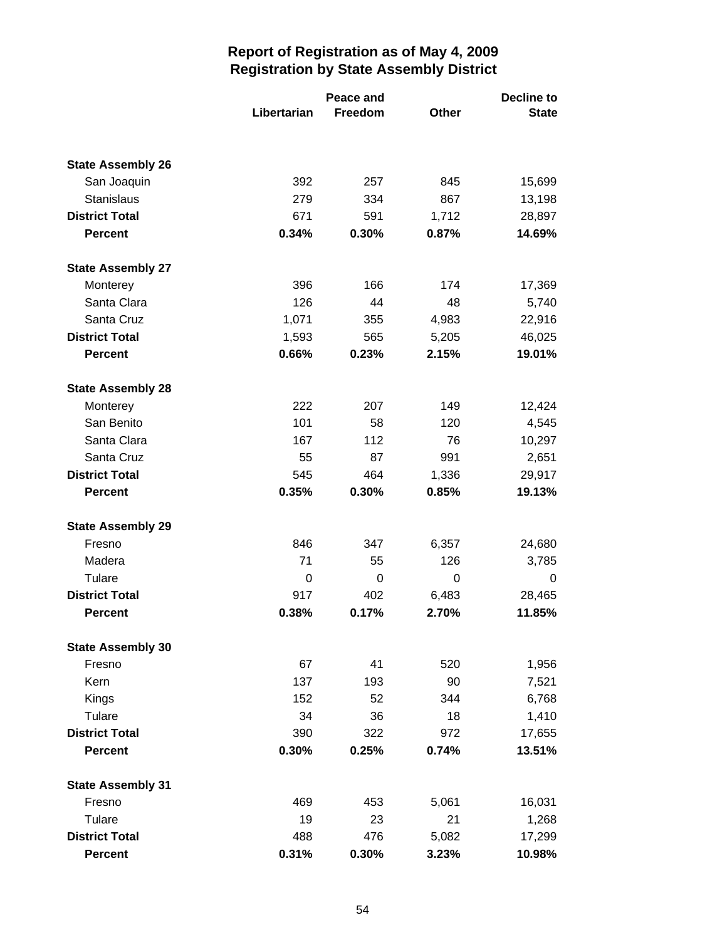|                          |             | Peace and |       | <b>Decline to</b> |  |
|--------------------------|-------------|-----------|-------|-------------------|--|
|                          | Libertarian | Freedom   | Other | <b>State</b>      |  |
|                          |             |           |       |                   |  |
| <b>State Assembly 26</b> |             |           |       |                   |  |
| San Joaquin              | 392         | 257       | 845   | 15,699            |  |
| <b>Stanislaus</b>        | 279         | 334       | 867   | 13,198            |  |
| <b>District Total</b>    | 671         | 591       | 1,712 | 28,897            |  |
| <b>Percent</b>           | 0.34%       | 0.30%     | 0.87% | 14.69%            |  |
| <b>State Assembly 27</b> |             |           |       |                   |  |
| Monterey                 | 396         | 166       | 174   | 17,369            |  |
| Santa Clara              | 126         | 44        | 48    | 5,740             |  |
| Santa Cruz               | 1,071       | 355       | 4,983 | 22,916            |  |
| <b>District Total</b>    | 1,593       | 565       | 5,205 | 46,025            |  |
| <b>Percent</b>           | 0.66%       | 0.23%     | 2.15% | 19.01%            |  |
| <b>State Assembly 28</b> |             |           |       |                   |  |
| Monterey                 | 222         | 207       | 149   | 12,424            |  |
| San Benito               | 101         | 58        | 120   | 4,545             |  |
| Santa Clara              | 167         | 112       | 76    | 10,297            |  |
| Santa Cruz               | 55          | 87        | 991   | 2,651             |  |
| <b>District Total</b>    | 545         | 464       | 1,336 | 29,917            |  |
| <b>Percent</b>           | 0.35%       | 0.30%     | 0.85% | 19.13%            |  |
| <b>State Assembly 29</b> |             |           |       |                   |  |
| Fresno                   | 846         | 347       | 6,357 | 24,680            |  |
| Madera                   | 71          | 55        | 126   | 3,785             |  |
| Tulare                   | 0           | 0         | 0     | 0                 |  |
| <b>District Total</b>    | 917         | 402       | 6,483 | 28,465            |  |
| <b>Percent</b>           | 0.38%       | 0.17%     | 2.70% | 11.85%            |  |
| <b>State Assembly 30</b> |             |           |       |                   |  |
| Fresno                   | 67          | 41        | 520   | 1,956             |  |
| Kern                     | 137         | 193       | 90    | 7,521             |  |
| Kings                    | 152         | 52        | 344   | 6,768             |  |
| Tulare                   | 34          | 36        | 18    | 1,410             |  |
| <b>District Total</b>    | 390         | 322       | 972   | 17,655            |  |
| <b>Percent</b>           | 0.30%       | 0.25%     | 0.74% | 13.51%            |  |
| <b>State Assembly 31</b> |             |           |       |                   |  |
| Fresno                   | 469         | 453       | 5,061 | 16,031            |  |
| Tulare                   | 19          | 23        | 21    | 1,268             |  |
| <b>District Total</b>    | 488         | 476       | 5,082 | 17,299            |  |
| <b>Percent</b>           | 0.31%       | 0.30%     | 3.23% | 10.98%            |  |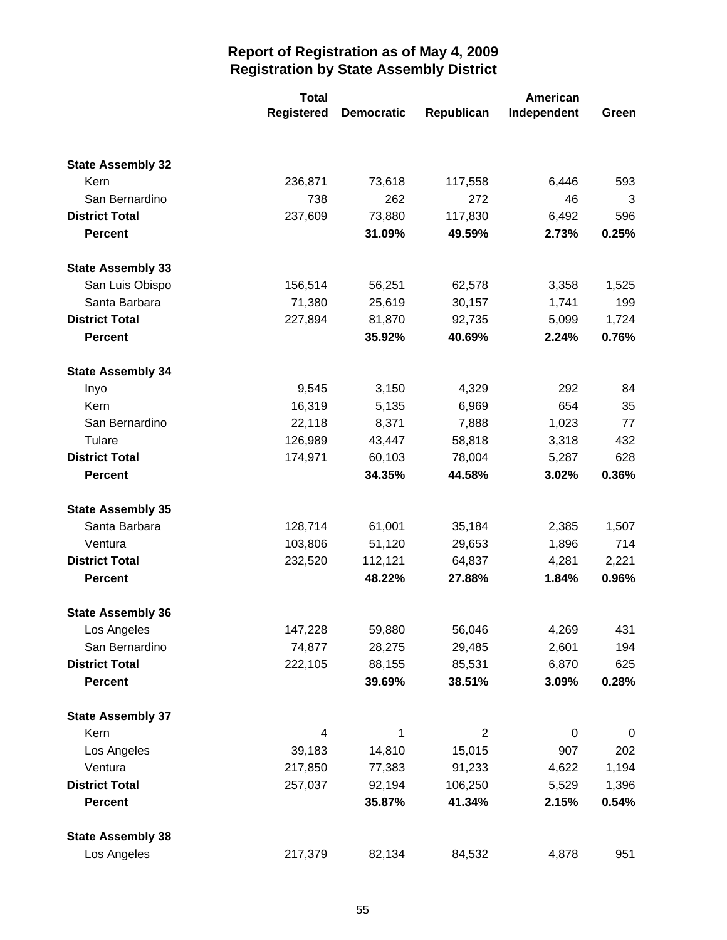|                          | <b>Total</b>      |                   |            | American    |       |
|--------------------------|-------------------|-------------------|------------|-------------|-------|
|                          | <b>Registered</b> | <b>Democratic</b> | Republican | Independent | Green |
|                          |                   |                   |            |             |       |
| <b>State Assembly 32</b> |                   |                   |            |             |       |
| Kern                     | 236,871           | 73,618            | 117,558    | 6,446       | 593   |
| San Bernardino           | 738               | 262               | 272        | 46          | 3     |
| <b>District Total</b>    | 237,609           | 73,880            | 117,830    | 6,492       | 596   |
| <b>Percent</b>           |                   | 31.09%            | 49.59%     | 2.73%       | 0.25% |
| <b>State Assembly 33</b> |                   |                   |            |             |       |
| San Luis Obispo          | 156,514           | 56,251            | 62,578     | 3,358       | 1,525 |
| Santa Barbara            | 71,380            | 25,619            | 30,157     | 1,741       | 199   |
| <b>District Total</b>    | 227,894           | 81,870            | 92,735     | 5,099       | 1,724 |
| <b>Percent</b>           |                   | 35.92%            | 40.69%     | 2.24%       | 0.76% |
| <b>State Assembly 34</b> |                   |                   |            |             |       |
| Inyo                     | 9,545             | 3,150             | 4,329      | 292         | 84    |
| Kern                     | 16,319            | 5,135             | 6,969      | 654         | 35    |
| San Bernardino           | 22,118            | 8,371             | 7,888      | 1,023       | 77    |
| Tulare                   | 126,989           | 43,447            | 58,818     | 3,318       | 432   |
| <b>District Total</b>    | 174,971           | 60,103            | 78,004     | 5,287       | 628   |
| <b>Percent</b>           |                   | 34.35%            | 44.58%     | 3.02%       | 0.36% |
| <b>State Assembly 35</b> |                   |                   |            |             |       |
| Santa Barbara            | 128,714           | 61,001            | 35,184     | 2,385       | 1,507 |
| Ventura                  | 103,806           | 51,120            | 29,653     | 1,896       | 714   |
| <b>District Total</b>    | 232,520           | 112,121           | 64,837     | 4,281       | 2,221 |
| <b>Percent</b>           |                   | 48.22%            | 27.88%     | 1.84%       | 0.96% |
| <b>State Assembly 36</b> |                   |                   |            |             |       |
| Los Angeles              | 147,228           | 59,880            | 56,046     | 4,269       | 431   |
| San Bernardino           | 74,877            | 28,275            | 29,485     | 2,601       | 194   |
| <b>District Total</b>    | 222,105           | 88,155            | 85,531     | 6,870       | 625   |
| <b>Percent</b>           |                   | 39.69%            | 38.51%     | 3.09%       | 0.28% |
| <b>State Assembly 37</b> |                   |                   |            |             |       |
| Kern                     | 4                 | 1                 | 2          | $\mathbf 0$ | 0     |
| Los Angeles              | 39,183            | 14,810            | 15,015     | 907         | 202   |
| Ventura                  | 217,850           | 77,383            | 91,233     | 4,622       | 1,194 |
| <b>District Total</b>    | 257,037           | 92,194            | 106,250    | 5,529       | 1,396 |
| <b>Percent</b>           |                   | 35.87%            | 41.34%     | 2.15%       | 0.54% |
| <b>State Assembly 38</b> |                   |                   |            |             |       |
| Los Angeles              | 217,379           | 82,134            | 84,532     | 4,878       | 951   |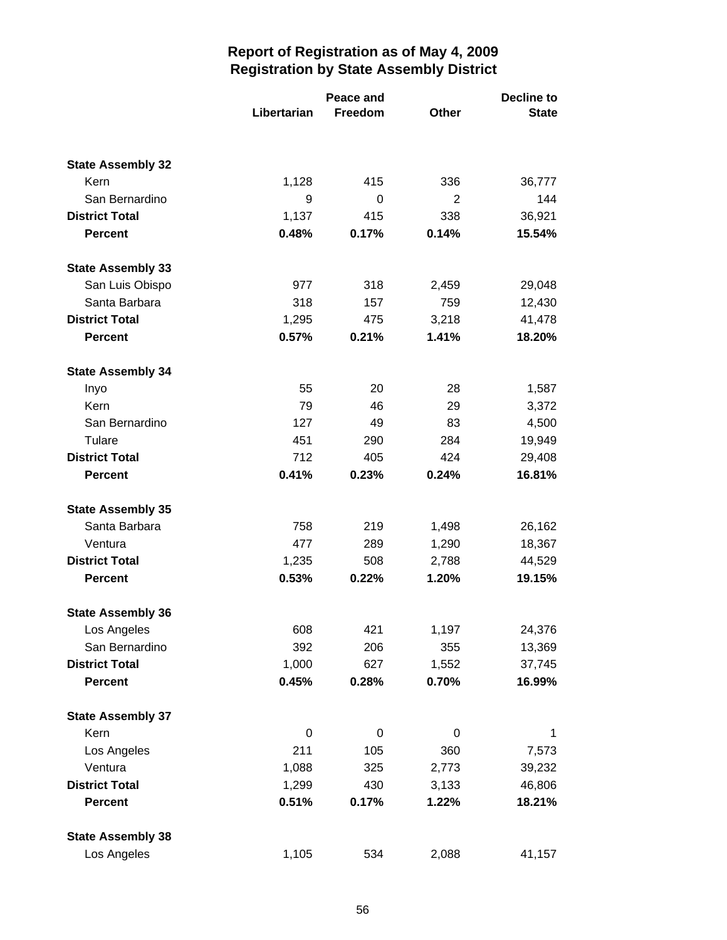|                          |             | Peace and<br>Libertarian<br>Freedom |       | <b>Decline to</b><br><b>State</b> |  |
|--------------------------|-------------|-------------------------------------|-------|-----------------------------------|--|
|                          |             |                                     |       |                                   |  |
| <b>State Assembly 32</b> |             |                                     |       |                                   |  |
| Kern                     | 1,128       | 415                                 | 336   | 36,777                            |  |
| San Bernardino           | 9           | 0                                   | 2     | 144                               |  |
| <b>District Total</b>    | 1,137       | 415                                 | 338   | 36,921                            |  |
| <b>Percent</b>           | 0.48%       | 0.17%                               | 0.14% | 15.54%                            |  |
| <b>State Assembly 33</b> |             |                                     |       |                                   |  |
| San Luis Obispo          | 977         | 318                                 | 2,459 | 29,048                            |  |
| Santa Barbara            | 318         | 157                                 | 759   | 12,430                            |  |
| <b>District Total</b>    | 1,295       | 475                                 | 3,218 | 41,478                            |  |
| <b>Percent</b>           | 0.57%       | 0.21%                               | 1.41% | 18.20%                            |  |
| <b>State Assembly 34</b> |             |                                     |       |                                   |  |
| Inyo                     | 55          | 20                                  | 28    | 1,587                             |  |
| Kern                     | 79          | 46                                  | 29    | 3,372                             |  |
| San Bernardino           | 127         | 49                                  | 83    | 4,500                             |  |
| Tulare                   | 451         | 290                                 | 284   | 19,949                            |  |
| <b>District Total</b>    | 712         | 405                                 | 424   | 29,408                            |  |
| <b>Percent</b>           | 0.41%       | 0.23%                               | 0.24% | 16.81%                            |  |
| <b>State Assembly 35</b> |             |                                     |       |                                   |  |
| Santa Barbara            | 758         | 219                                 | 1,498 | 26,162                            |  |
| Ventura                  | 477         | 289                                 | 1,290 | 18,367                            |  |
| <b>District Total</b>    | 1,235       | 508                                 | 2,788 | 44,529                            |  |
| <b>Percent</b>           | 0.53%       | 0.22%                               | 1.20% | 19.15%                            |  |
| <b>State Assembly 36</b> |             |                                     |       |                                   |  |
| Los Angeles              | 608         | 421                                 | 1,197 | 24,376                            |  |
| San Bernardino           | 392         | 206                                 | 355   | 13,369                            |  |
| <b>District Total</b>    | 1,000       | 627                                 | 1,552 | 37,745                            |  |
| <b>Percent</b>           | 0.45%       | 0.28%                               | 0.70% | 16.99%                            |  |
| <b>State Assembly 37</b> |             |                                     |       |                                   |  |
| Kern                     | $\mathbf 0$ | 0                                   | 0     | 1                                 |  |
| Los Angeles              | 211         | 105                                 | 360   | 7,573                             |  |
| Ventura                  | 1,088       | 325                                 | 2,773 | 39,232                            |  |
| <b>District Total</b>    | 1,299       | 430                                 | 3,133 | 46,806                            |  |
| <b>Percent</b>           | 0.51%       | 0.17%                               | 1.22% | 18.21%                            |  |
| <b>State Assembly 38</b> |             |                                     |       |                                   |  |
| Los Angeles              | 1,105       | 534                                 | 2,088 | 41,157                            |  |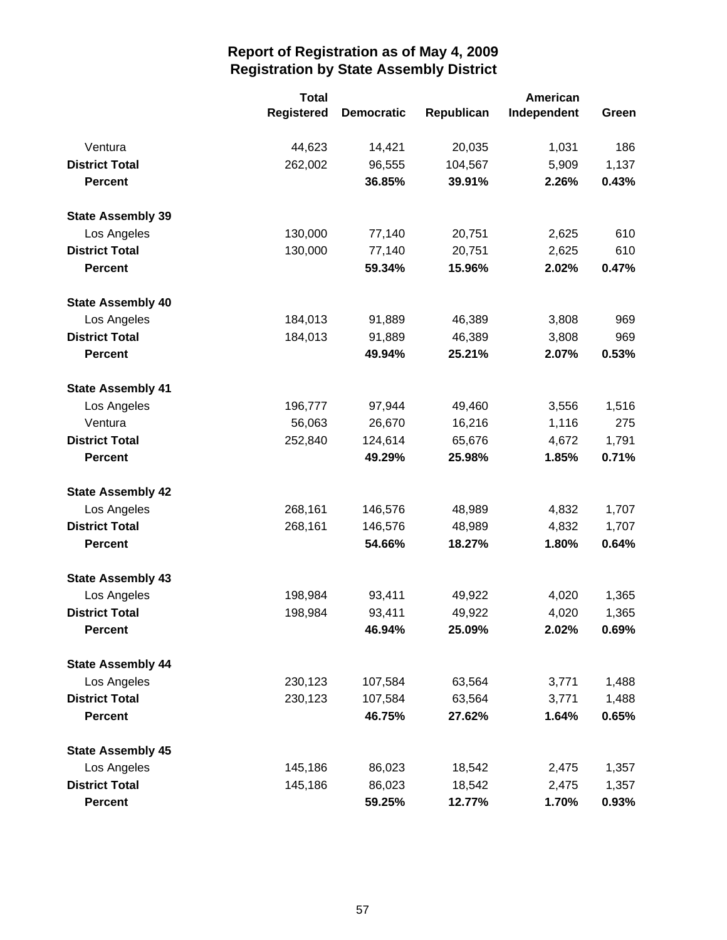|                          | <b>Total</b>      |                   |            | <b>American</b> |       |  |
|--------------------------|-------------------|-------------------|------------|-----------------|-------|--|
|                          | <b>Registered</b> | <b>Democratic</b> | Republican | Independent     | Green |  |
| Ventura                  | 44,623            | 14,421            | 20,035     | 1,031           | 186   |  |
| <b>District Total</b>    | 262,002           | 96,555            | 104,567    | 5,909           | 1,137 |  |
| <b>Percent</b>           |                   | 36.85%            | 39.91%     | 2.26%           | 0.43% |  |
| <b>State Assembly 39</b> |                   |                   |            |                 |       |  |
| Los Angeles              | 130,000           | 77,140            | 20,751     | 2,625           | 610   |  |
| <b>District Total</b>    | 130,000           | 77,140            | 20,751     | 2,625           | 610   |  |
| <b>Percent</b>           |                   | 59.34%            | 15.96%     | 2.02%           | 0.47% |  |
| <b>State Assembly 40</b> |                   |                   |            |                 |       |  |
| Los Angeles              | 184,013           | 91,889            | 46,389     | 3,808           | 969   |  |
| <b>District Total</b>    | 184,013           | 91,889            | 46,389     | 3,808           | 969   |  |
| <b>Percent</b>           |                   | 49.94%            | 25.21%     | 2.07%           | 0.53% |  |
| <b>State Assembly 41</b> |                   |                   |            |                 |       |  |
| Los Angeles              | 196,777           | 97,944            | 49,460     | 3,556           | 1,516 |  |
| Ventura                  | 56,063            | 26,670            | 16,216     | 1,116           | 275   |  |
| <b>District Total</b>    | 252,840           | 124,614           | 65,676     | 4,672           | 1,791 |  |
| <b>Percent</b>           |                   | 49.29%            | 25.98%     | 1.85%           | 0.71% |  |
| <b>State Assembly 42</b> |                   |                   |            |                 |       |  |
| Los Angeles              | 268,161           | 146,576           | 48,989     | 4,832           | 1,707 |  |
| <b>District Total</b>    | 268,161           | 146,576           | 48,989     | 4,832           | 1,707 |  |
| <b>Percent</b>           |                   | 54.66%            | 18.27%     | 1.80%           | 0.64% |  |
| <b>State Assembly 43</b> |                   |                   |            |                 |       |  |
| Los Angeles              | 198,984           | 93,411            | 49,922     | 4,020           | 1,365 |  |
| <b>District Total</b>    | 198,984           | 93,411            | 49,922     | 4,020           | 1,365 |  |
| <b>Percent</b>           |                   | 46.94%            | 25.09%     | 2.02%           | 0.69% |  |
| <b>State Assembly 44</b> |                   |                   |            |                 |       |  |
| Los Angeles              | 230,123           | 107,584           | 63,564     | 3,771           | 1,488 |  |
| <b>District Total</b>    | 230,123           | 107,584           | 63,564     | 3,771           | 1,488 |  |
| <b>Percent</b>           |                   | 46.75%            | 27.62%     | 1.64%           | 0.65% |  |
| <b>State Assembly 45</b> |                   |                   |            |                 |       |  |
| Los Angeles              | 145,186           | 86,023            | 18,542     | 2,475           | 1,357 |  |
| <b>District Total</b>    | 145,186           | 86,023            | 18,542     | 2,475           | 1,357 |  |
| <b>Percent</b>           |                   | 59.25%            | 12.77%     | 1.70%           | 0.93% |  |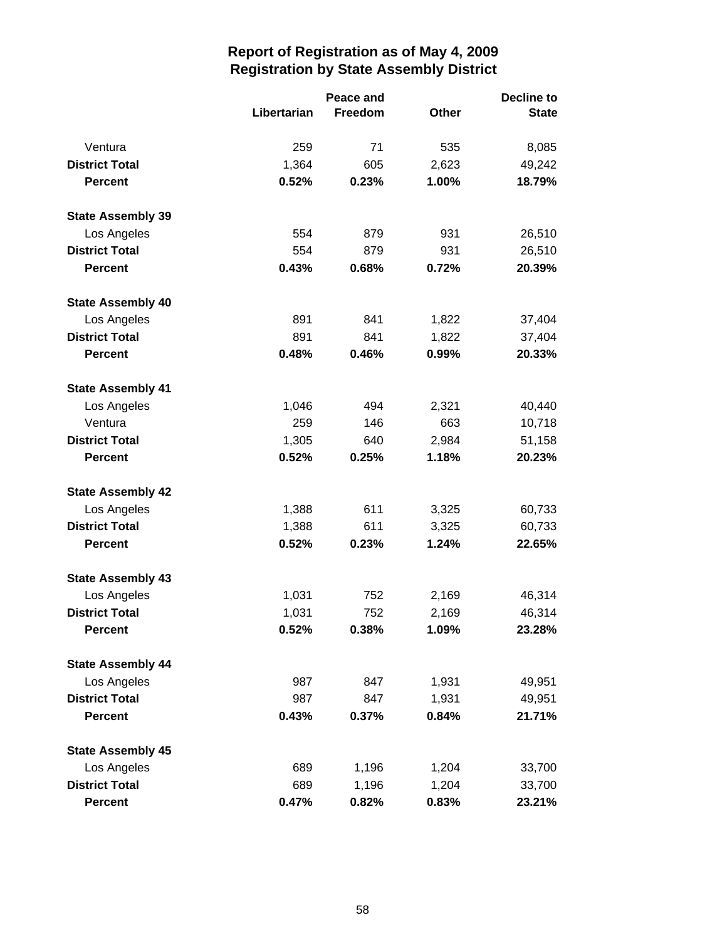|                          |             | <b>Peace and</b> |              | <b>Decline to</b> |  |
|--------------------------|-------------|------------------|--------------|-------------------|--|
|                          | Libertarian | Freedom          | <b>Other</b> | <b>State</b>      |  |
| Ventura                  | 259         | 71               | 535          | 8,085             |  |
| <b>District Total</b>    | 1,364       | 605              | 2,623        | 49,242            |  |
| <b>Percent</b>           | 0.52%       | 0.23%            | 1.00%        | 18.79%            |  |
| <b>State Assembly 39</b> |             |                  |              |                   |  |
| Los Angeles              | 554         | 879              | 931          | 26,510            |  |
| <b>District Total</b>    | 554         | 879              | 931          | 26,510            |  |
| <b>Percent</b>           | 0.43%       | 0.68%            | 0.72%        | 20.39%            |  |
| <b>State Assembly 40</b> |             |                  |              |                   |  |
| Los Angeles              | 891         | 841              | 1,822        | 37,404            |  |
| <b>District Total</b>    | 891         | 841              | 1,822        | 37,404            |  |
| <b>Percent</b>           | 0.48%       | 0.46%            | 0.99%        | 20.33%            |  |
| <b>State Assembly 41</b> |             |                  |              |                   |  |
| Los Angeles              | 1,046       | 494              | 2,321        | 40,440            |  |
| Ventura                  | 259         | 146              | 663          | 10,718            |  |
| <b>District Total</b>    | 1,305       | 640              | 2,984        | 51,158            |  |
| <b>Percent</b>           | 0.52%       | 0.25%            | 1.18%        | 20.23%            |  |
| <b>State Assembly 42</b> |             |                  |              |                   |  |
| Los Angeles              | 1,388       | 611              | 3,325        | 60,733            |  |
| <b>District Total</b>    | 1,388       | 611              | 3,325        | 60,733            |  |
| <b>Percent</b>           | 0.52%       | 0.23%            | 1.24%        | 22.65%            |  |
| <b>State Assembly 43</b> |             |                  |              |                   |  |
| Los Angeles              | 1,031       | 752              | 2,169        | 46,314            |  |
| <b>District Total</b>    | 1,031       | 752              | 2,169        | 46,314            |  |
| <b>Percent</b>           | 0.52%       | 0.38%            | 1.09%        | 23.28%            |  |
| <b>State Assembly 44</b> |             |                  |              |                   |  |
| Los Angeles              | 987         | 847              | 1,931        | 49,951            |  |
| <b>District Total</b>    | 987         | 847              | 1,931        | 49,951            |  |
| <b>Percent</b>           | 0.43%       | 0.37%            | 0.84%        | 21.71%            |  |
| <b>State Assembly 45</b> |             |                  |              |                   |  |
| Los Angeles              | 689         | 1,196            | 1,204        | 33,700            |  |
| <b>District Total</b>    | 689         | 1,196            | 1,204        | 33,700            |  |
| <b>Percent</b>           | 0.47%       | 0.82%            | 0.83%        | 23.21%            |  |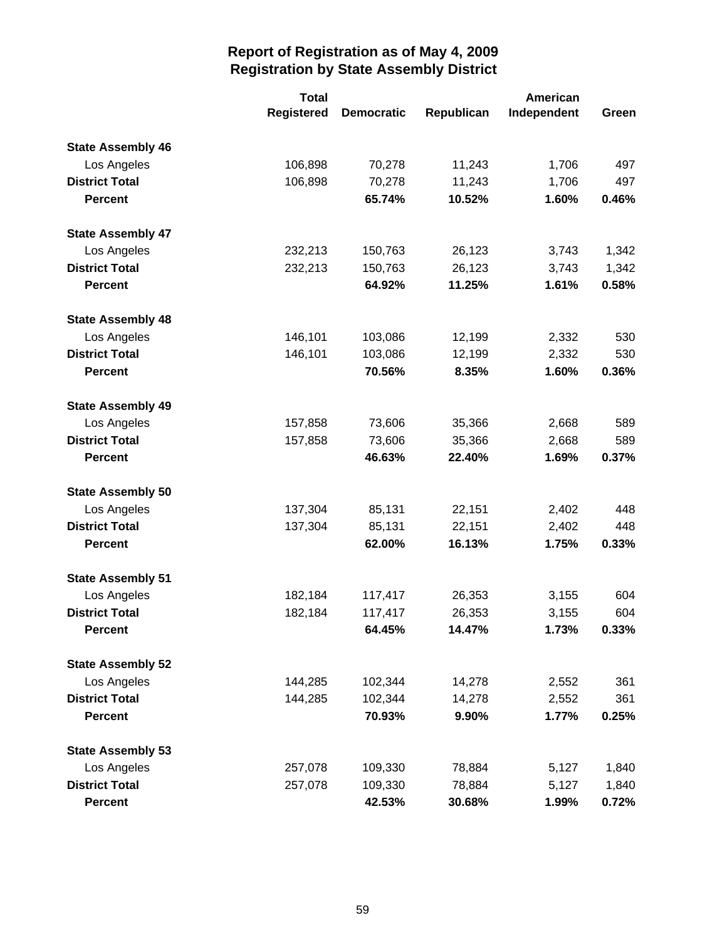|                          | <b>Total</b>      |                   |            | American    |       |
|--------------------------|-------------------|-------------------|------------|-------------|-------|
|                          | <b>Registered</b> | <b>Democratic</b> | Republican | Independent | Green |
| <b>State Assembly 46</b> |                   |                   |            |             |       |
| Los Angeles              | 106,898           | 70,278            | 11,243     | 1,706       | 497   |
| <b>District Total</b>    | 106,898           | 70,278            | 11,243     | 1,706       | 497   |
| <b>Percent</b>           |                   | 65.74%            | 10.52%     | 1.60%       | 0.46% |
| <b>State Assembly 47</b> |                   |                   |            |             |       |
| Los Angeles              | 232,213           | 150,763           | 26,123     | 3,743       | 1,342 |
| <b>District Total</b>    | 232,213           | 150,763           | 26,123     | 3,743       | 1,342 |
| <b>Percent</b>           |                   | 64.92%            | 11.25%     | 1.61%       | 0.58% |
| <b>State Assembly 48</b> |                   |                   |            |             |       |
| Los Angeles              | 146,101           | 103,086           | 12,199     | 2,332       | 530   |
| <b>District Total</b>    | 146,101           | 103,086           | 12,199     | 2,332       | 530   |
| <b>Percent</b>           |                   | 70.56%            | 8.35%      | 1.60%       | 0.36% |
| <b>State Assembly 49</b> |                   |                   |            |             |       |
| Los Angeles              | 157,858           | 73,606            | 35,366     | 2,668       | 589   |
| <b>District Total</b>    | 157,858           | 73,606            | 35,366     | 2,668       | 589   |
| <b>Percent</b>           |                   | 46.63%            | 22.40%     | 1.69%       | 0.37% |
| <b>State Assembly 50</b> |                   |                   |            |             |       |
| Los Angeles              | 137,304           | 85,131            | 22,151     | 2,402       | 448   |
| <b>District Total</b>    | 137,304           | 85,131            | 22,151     | 2,402       | 448   |
| <b>Percent</b>           |                   | 62.00%            | 16.13%     | 1.75%       | 0.33% |
| <b>State Assembly 51</b> |                   |                   |            |             |       |
| Los Angeles              | 182,184           | 117,417           | 26,353     | 3,155       | 604   |
| <b>District Total</b>    | 182,184           | 117,417           | 26,353     | 3,155       | 604   |
| <b>Percent</b>           |                   | 64.45%            | 14.47%     | 1.73%       | 0.33% |
| <b>State Assembly 52</b> |                   |                   |            |             |       |
| Los Angeles              | 144,285           | 102,344           | 14,278     | 2,552       | 361   |
| <b>District Total</b>    | 144,285           | 102,344           | 14,278     | 2,552       | 361   |
| <b>Percent</b>           |                   | 70.93%            | 9.90%      | 1.77%       | 0.25% |
| <b>State Assembly 53</b> |                   |                   |            |             |       |
| Los Angeles              | 257,078           | 109,330           | 78,884     | 5,127       | 1,840 |
| <b>District Total</b>    | 257,078           | 109,330           | 78,884     | 5,127       | 1,840 |
| <b>Percent</b>           |                   | 42.53%            | 30.68%     | 1.99%       | 0.72% |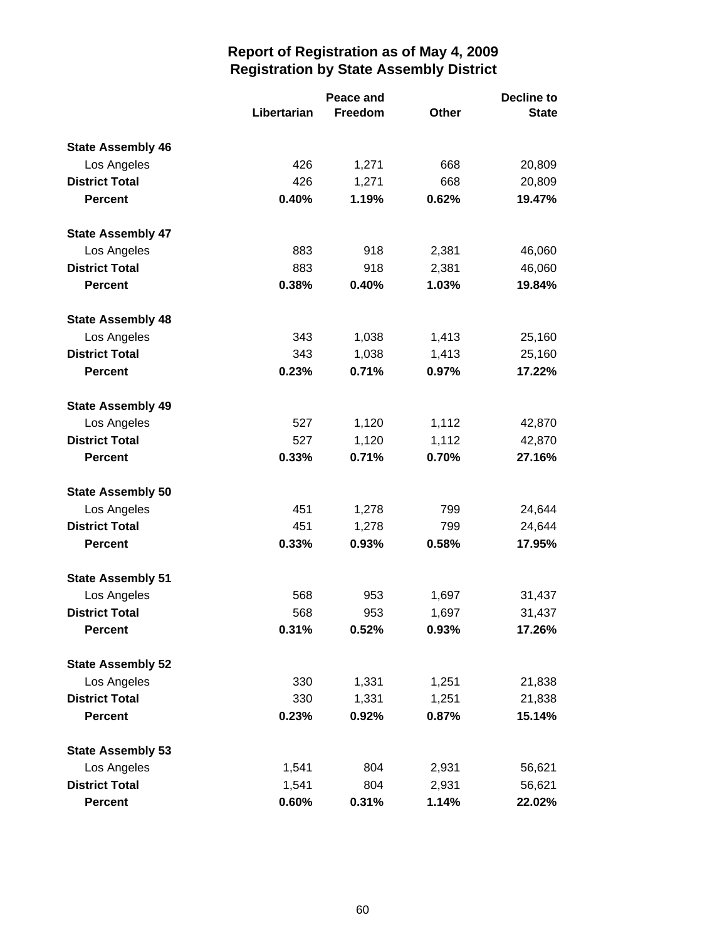|                          |             | Peace and | <b>Decline to</b> |              |  |
|--------------------------|-------------|-----------|-------------------|--------------|--|
|                          | Libertarian | Freedom   | Other             | <b>State</b> |  |
| <b>State Assembly 46</b> |             |           |                   |              |  |
| Los Angeles              | 426         | 1,271     | 668               | 20,809       |  |
| <b>District Total</b>    | 426         | 1,271     | 668               | 20,809       |  |
| <b>Percent</b>           | 0.40%       | 1.19%     | 0.62%             | 19.47%       |  |
| <b>State Assembly 47</b> |             |           |                   |              |  |
| Los Angeles              | 883         | 918       | 2,381             | 46,060       |  |
| <b>District Total</b>    | 883         | 918       | 2,381             | 46,060       |  |
| <b>Percent</b>           | 0.38%       | 0.40%     | 1.03%             | 19.84%       |  |
| <b>State Assembly 48</b> |             |           |                   |              |  |
| Los Angeles              | 343         | 1,038     | 1,413             | 25,160       |  |
| <b>District Total</b>    | 343         | 1,038     | 1,413             | 25,160       |  |
| <b>Percent</b>           | 0.23%       | 0.71%     | 0.97%             | 17.22%       |  |
| <b>State Assembly 49</b> |             |           |                   |              |  |
| Los Angeles              | 527         | 1,120     | 1,112             | 42,870       |  |
| <b>District Total</b>    | 527         | 1,120     | 1,112             | 42,870       |  |
| <b>Percent</b>           | 0.33%       | 0.71%     | 0.70%             | 27.16%       |  |
| <b>State Assembly 50</b> |             |           |                   |              |  |
| Los Angeles              | 451         | 1,278     | 799               | 24,644       |  |
| <b>District Total</b>    | 451         | 1,278     | 799               | 24,644       |  |
| <b>Percent</b>           | 0.33%       | 0.93%     | 0.58%             | 17.95%       |  |
| <b>State Assembly 51</b> |             |           |                   |              |  |
| Los Angeles              | 568         | 953       | 1,697             | 31,437       |  |
| <b>District Total</b>    | 568         | 953       | 1,697             | 31,437       |  |
| <b>Percent</b>           | 0.31%       | 0.52%     | 0.93%             | 17.26%       |  |
| <b>State Assembly 52</b> |             |           |                   |              |  |
| Los Angeles              | 330         | 1,331     | 1,251             | 21,838       |  |
| <b>District Total</b>    | 330         | 1,331     | 1,251             | 21,838       |  |
| <b>Percent</b>           | 0.23%       | 0.92%     | 0.87%             | 15.14%       |  |
| <b>State Assembly 53</b> |             |           |                   |              |  |
| Los Angeles              | 1,541       | 804       | 2,931             | 56,621       |  |
| <b>District Total</b>    | 1,541       | 804       | 2,931             | 56,621       |  |
| <b>Percent</b>           | 0.60%       | 0.31%     | 1.14%             | 22.02%       |  |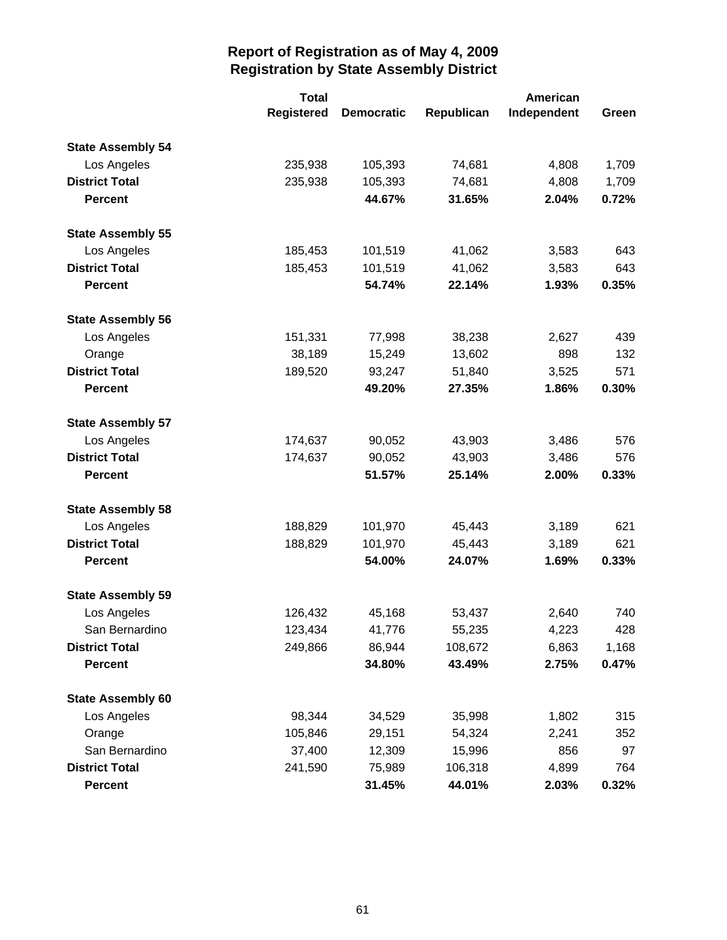|                          | <b>Total</b>      | American          |            |             |       |
|--------------------------|-------------------|-------------------|------------|-------------|-------|
|                          | <b>Registered</b> | <b>Democratic</b> | Republican | Independent | Green |
| <b>State Assembly 54</b> |                   |                   |            |             |       |
| Los Angeles              | 235,938           | 105,393           | 74,681     | 4,808       | 1,709 |
| <b>District Total</b>    | 235,938           | 105,393           | 74,681     | 4,808       | 1,709 |
| <b>Percent</b>           |                   | 44.67%            | 31.65%     | 2.04%       | 0.72% |
| <b>State Assembly 55</b> |                   |                   |            |             |       |
| Los Angeles              | 185,453           | 101,519           | 41,062     | 3,583       | 643   |
| <b>District Total</b>    | 185,453           | 101,519           | 41,062     | 3,583       | 643   |
| <b>Percent</b>           |                   | 54.74%            | 22.14%     | 1.93%       | 0.35% |
| <b>State Assembly 56</b> |                   |                   |            |             |       |
| Los Angeles              | 151,331           | 77,998            | 38,238     | 2,627       | 439   |
| Orange                   | 38,189            | 15,249            | 13,602     | 898         | 132   |
| <b>District Total</b>    | 189,520           | 93,247            | 51,840     | 3,525       | 571   |
| <b>Percent</b>           |                   | 49.20%            | 27.35%     | 1.86%       | 0.30% |
| <b>State Assembly 57</b> |                   |                   |            |             |       |
| Los Angeles              | 174,637           | 90,052            | 43,903     | 3,486       | 576   |
| <b>District Total</b>    | 174,637           | 90,052            | 43,903     | 3,486       | 576   |
| <b>Percent</b>           |                   | 51.57%            | 25.14%     | 2.00%       | 0.33% |
| <b>State Assembly 58</b> |                   |                   |            |             |       |
| Los Angeles              | 188,829           | 101,970           | 45,443     | 3,189       | 621   |
| <b>District Total</b>    | 188,829           | 101,970           | 45,443     | 3,189       | 621   |
| <b>Percent</b>           |                   | 54.00%            | 24.07%     | 1.69%       | 0.33% |
| <b>State Assembly 59</b> |                   |                   |            |             |       |
| Los Angeles              | 126,432           | 45,168            | 53,437     | 2,640       | 740   |
| San Bernardino           | 123,434           | 41,776            | 55,235     | 4,223       | 428   |
| <b>District Total</b>    | 249,866           | 86,944            | 108,672    | 6,863       | 1,168 |
| <b>Percent</b>           |                   | 34.80%            | 43.49%     | 2.75%       | 0.47% |
| <b>State Assembly 60</b> |                   |                   |            |             |       |
| Los Angeles              | 98,344            | 34,529            | 35,998     | 1,802       | 315   |
| Orange                   | 105,846           | 29,151            | 54,324     | 2,241       | 352   |
| San Bernardino           | 37,400            | 12,309            | 15,996     | 856         | 97    |
| <b>District Total</b>    | 241,590           | 75,989            | 106,318    | 4,899       | 764   |
| <b>Percent</b>           |                   | 31.45%            | 44.01%     | 2.03%       | 0.32% |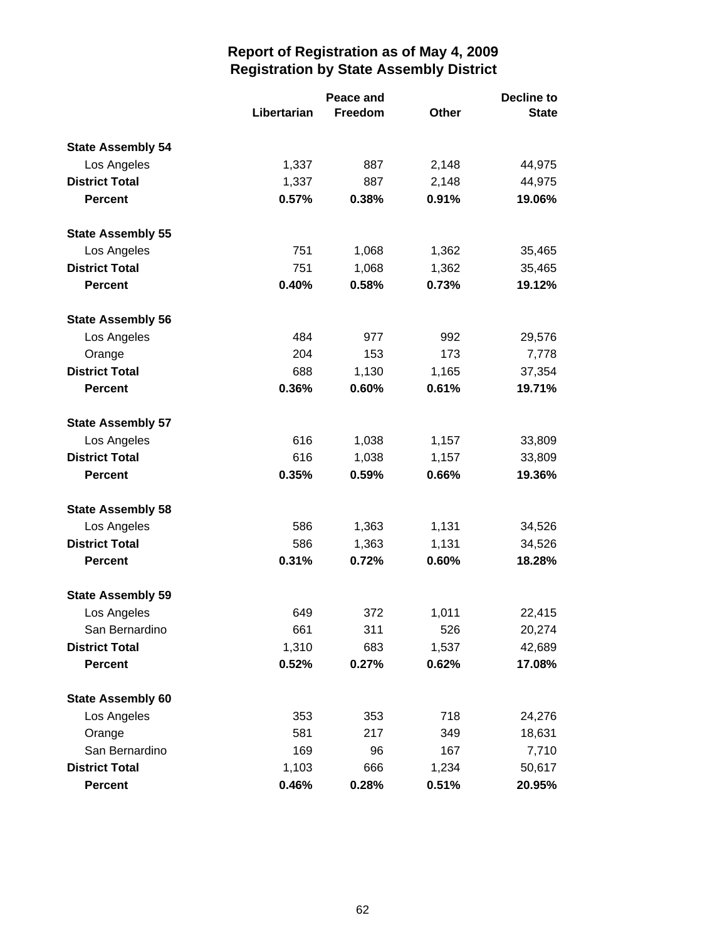|                          |             | Peace and | <b>Decline to</b> |              |  |
|--------------------------|-------------|-----------|-------------------|--------------|--|
|                          | Libertarian | Freedom   | <b>Other</b>      | <b>State</b> |  |
| <b>State Assembly 54</b> |             |           |                   |              |  |
| Los Angeles              | 1,337       | 887       | 2,148             | 44,975       |  |
| <b>District Total</b>    | 1,337       | 887       | 2,148             | 44,975       |  |
| <b>Percent</b>           | 0.57%       | 0.38%     | 0.91%             | 19.06%       |  |
| <b>State Assembly 55</b> |             |           |                   |              |  |
| Los Angeles              | 751         | 1,068     | 1,362             | 35,465       |  |
| <b>District Total</b>    | 751         | 1,068     | 1,362             | 35,465       |  |
| <b>Percent</b>           | 0.40%       | 0.58%     | 0.73%             | 19.12%       |  |
| <b>State Assembly 56</b> |             |           |                   |              |  |
| Los Angeles              | 484         | 977       | 992               | 29,576       |  |
| Orange                   | 204         | 153       | 173               | 7,778        |  |
| <b>District Total</b>    | 688         | 1,130     | 1,165             | 37,354       |  |
| <b>Percent</b>           | 0.36%       | 0.60%     | 0.61%             | 19.71%       |  |
| <b>State Assembly 57</b> |             |           |                   |              |  |
| Los Angeles              | 616         | 1,038     | 1,157             | 33,809       |  |
| <b>District Total</b>    | 616         | 1,038     | 1,157             | 33,809       |  |
| <b>Percent</b>           | 0.35%       | 0.59%     | 0.66%             | 19.36%       |  |
| <b>State Assembly 58</b> |             |           |                   |              |  |
| Los Angeles              | 586         | 1,363     | 1,131             | 34,526       |  |
| <b>District Total</b>    | 586         | 1,363     | 1,131             | 34,526       |  |
| <b>Percent</b>           | 0.31%       | 0.72%     | 0.60%             | 18.28%       |  |
| <b>State Assembly 59</b> |             |           |                   |              |  |
| Los Angeles              | 649         | 372       | 1,011             | 22,415       |  |
| San Bernardino           | 661         | 311       | 526               | 20,274       |  |
| <b>District Total</b>    | 1,310       | 683       | 1,537             | 42,689       |  |
| <b>Percent</b>           | 0.52%       | 0.27%     | 0.62%             | 17.08%       |  |
| <b>State Assembly 60</b> |             |           |                   |              |  |
| Los Angeles              | 353         | 353       | 718               | 24,276       |  |
| Orange                   | 581         | 217       | 349               | 18,631       |  |
| San Bernardino           | 169         | 96        | 167               | 7,710        |  |
| <b>District Total</b>    | 1,103       | 666       | 1,234             | 50,617       |  |
| <b>Percent</b>           | 0.46%       | 0.28%     | 0.51%             | 20.95%       |  |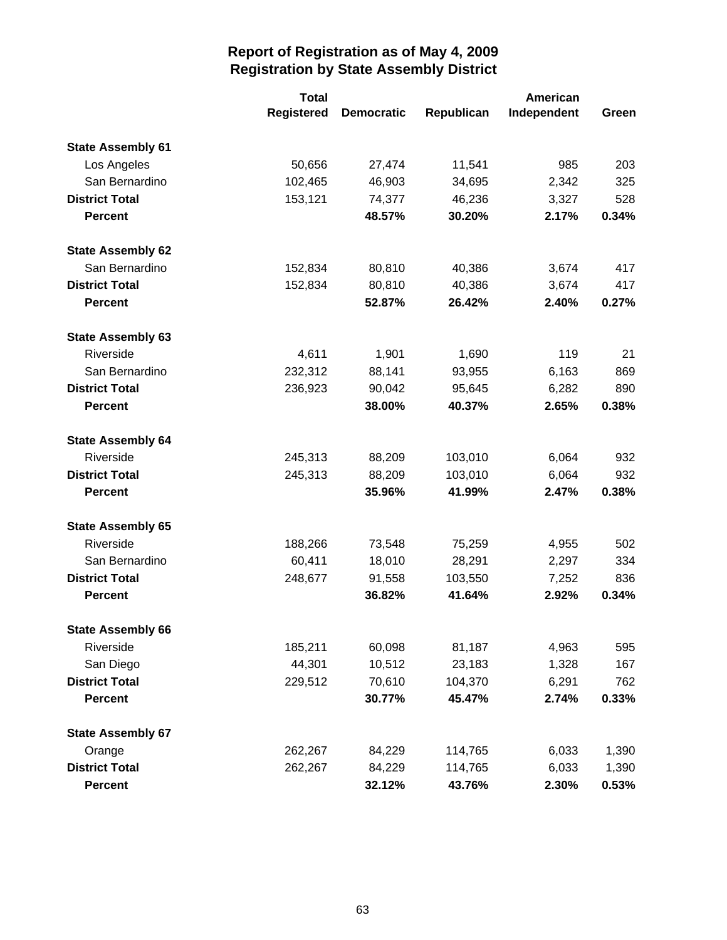|                          | <b>Total</b>      |                   |            | American    |       |
|--------------------------|-------------------|-------------------|------------|-------------|-------|
|                          | <b>Registered</b> | <b>Democratic</b> | Republican | Independent | Green |
| <b>State Assembly 61</b> |                   |                   |            |             |       |
| Los Angeles              | 50,656            | 27,474            | 11,541     | 985         | 203   |
| San Bernardino           | 102,465           | 46,903            | 34,695     | 2,342       | 325   |
| <b>District Total</b>    | 153,121           | 74,377            | 46,236     | 3,327       | 528   |
| <b>Percent</b>           |                   | 48.57%            | 30.20%     | 2.17%       | 0.34% |
| <b>State Assembly 62</b> |                   |                   |            |             |       |
| San Bernardino           | 152,834           | 80,810            | 40,386     | 3,674       | 417   |
| <b>District Total</b>    | 152,834           | 80,810            | 40,386     | 3,674       | 417   |
| <b>Percent</b>           |                   | 52.87%            | 26.42%     | 2.40%       | 0.27% |
| <b>State Assembly 63</b> |                   |                   |            |             |       |
| Riverside                | 4,611             | 1,901             | 1,690      | 119         | 21    |
| San Bernardino           | 232,312           | 88,141            | 93,955     | 6,163       | 869   |
| <b>District Total</b>    | 236,923           | 90,042            | 95,645     | 6,282       | 890   |
| <b>Percent</b>           |                   | 38.00%            | 40.37%     | 2.65%       | 0.38% |
| <b>State Assembly 64</b> |                   |                   |            |             |       |
| Riverside                | 245,313           | 88,209            | 103,010    | 6,064       | 932   |
| <b>District Total</b>    | 245,313           | 88,209            | 103,010    | 6,064       | 932   |
| <b>Percent</b>           |                   | 35.96%            | 41.99%     | 2.47%       | 0.38% |
| <b>State Assembly 65</b> |                   |                   |            |             |       |
| Riverside                | 188,266           | 73,548            | 75,259     | 4,955       | 502   |
| San Bernardino           | 60,411            | 18,010            | 28,291     | 2,297       | 334   |
| <b>District Total</b>    | 248,677           | 91,558            | 103,550    | 7,252       | 836   |
| <b>Percent</b>           |                   | 36.82%            | 41.64%     | 2.92%       | 0.34% |
| <b>State Assembly 66</b> |                   |                   |            |             |       |
| Riverside                | 185,211           | 60,098            | 81,187     | 4,963       | 595   |
| San Diego                | 44,301            | 10,512            | 23,183     | 1,328       | 167   |
| <b>District Total</b>    | 229,512           | 70,610            | 104,370    | 6,291       | 762   |
| <b>Percent</b>           |                   | 30.77%            | 45.47%     | 2.74%       | 0.33% |
| <b>State Assembly 67</b> |                   |                   |            |             |       |
| Orange                   | 262,267           | 84,229            | 114,765    | 6,033       | 1,390 |
| <b>District Total</b>    | 262,267           | 84,229            | 114,765    | 6,033       | 1,390 |
| <b>Percent</b>           |                   | 32.12%            | 43.76%     | 2.30%       | 0.53% |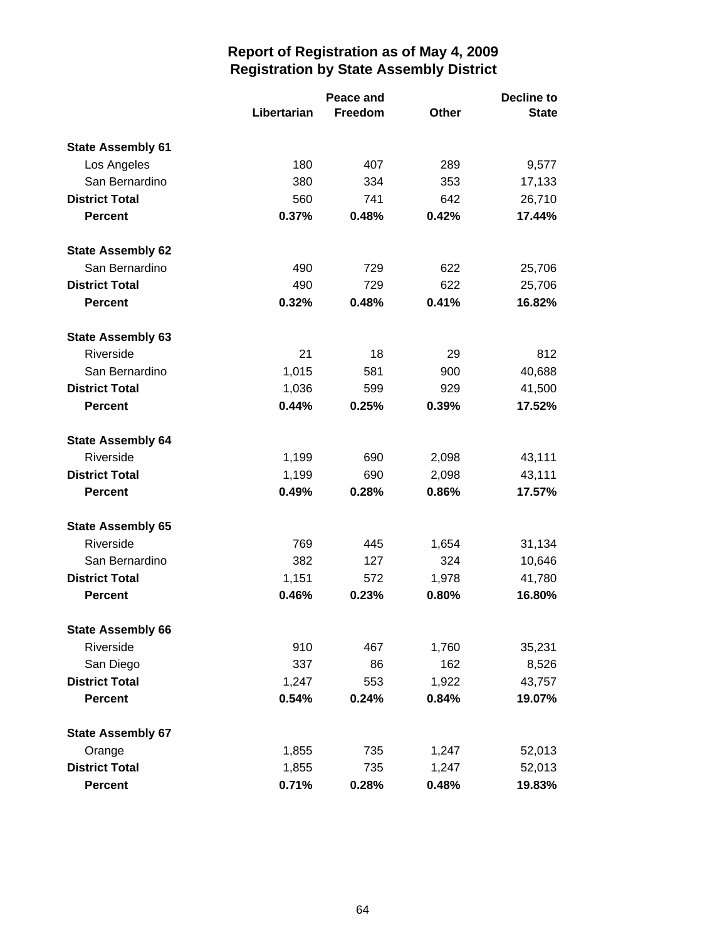|                          |             | Peace and |       | <b>Decline to</b> |  |
|--------------------------|-------------|-----------|-------|-------------------|--|
|                          | Libertarian | Freedom   | Other | <b>State</b>      |  |
| <b>State Assembly 61</b> |             |           |       |                   |  |
| Los Angeles              | 180         | 407       | 289   | 9,577             |  |
| San Bernardino           | 380         | 334       | 353   | 17,133            |  |
| <b>District Total</b>    | 560         | 741       | 642   | 26,710            |  |
| <b>Percent</b>           | 0.37%       | 0.48%     | 0.42% | 17.44%            |  |
| <b>State Assembly 62</b> |             |           |       |                   |  |
| San Bernardino           | 490         | 729       | 622   | 25,706            |  |
| <b>District Total</b>    | 490         | 729       | 622   | 25,706            |  |
| <b>Percent</b>           | 0.32%       | 0.48%     | 0.41% | 16.82%            |  |
| <b>State Assembly 63</b> |             |           |       |                   |  |
| Riverside                | 21          | 18        | 29    | 812               |  |
| San Bernardino           | 1,015       | 581       | 900   | 40,688            |  |
| <b>District Total</b>    | 1,036       | 599       | 929   | 41,500            |  |
| <b>Percent</b>           | 0.44%       | 0.25%     | 0.39% | 17.52%            |  |
| <b>State Assembly 64</b> |             |           |       |                   |  |
| Riverside                | 1,199       | 690       | 2,098 | 43,111            |  |
| <b>District Total</b>    | 1,199       | 690       | 2,098 | 43,111            |  |
| <b>Percent</b>           | 0.49%       | 0.28%     | 0.86% | 17.57%            |  |
| <b>State Assembly 65</b> |             |           |       |                   |  |
| Riverside                | 769         | 445       | 1,654 | 31,134            |  |
| San Bernardino           | 382         | 127       | 324   | 10,646            |  |
| <b>District Total</b>    | 1,151       | 572       | 1,978 | 41,780            |  |
| <b>Percent</b>           | 0.46%       | 0.23%     | 0.80% | 16.80%            |  |
| <b>State Assembly 66</b> |             |           |       |                   |  |
| Riverside                | 910         | 467       | 1,760 | 35,231            |  |
| San Diego                | 337         | 86        | 162   | 8,526             |  |
| <b>District Total</b>    | 1,247       | 553       | 1,922 | 43,757            |  |
| <b>Percent</b>           | 0.54%       | 0.24%     | 0.84% | 19.07%            |  |
| <b>State Assembly 67</b> |             |           |       |                   |  |
| Orange                   | 1,855       | 735       | 1,247 | 52,013            |  |
| <b>District Total</b>    | 1,855       | 735       | 1,247 | 52,013            |  |
| <b>Percent</b>           | 0.71%       | 0.28%     | 0.48% | 19.83%            |  |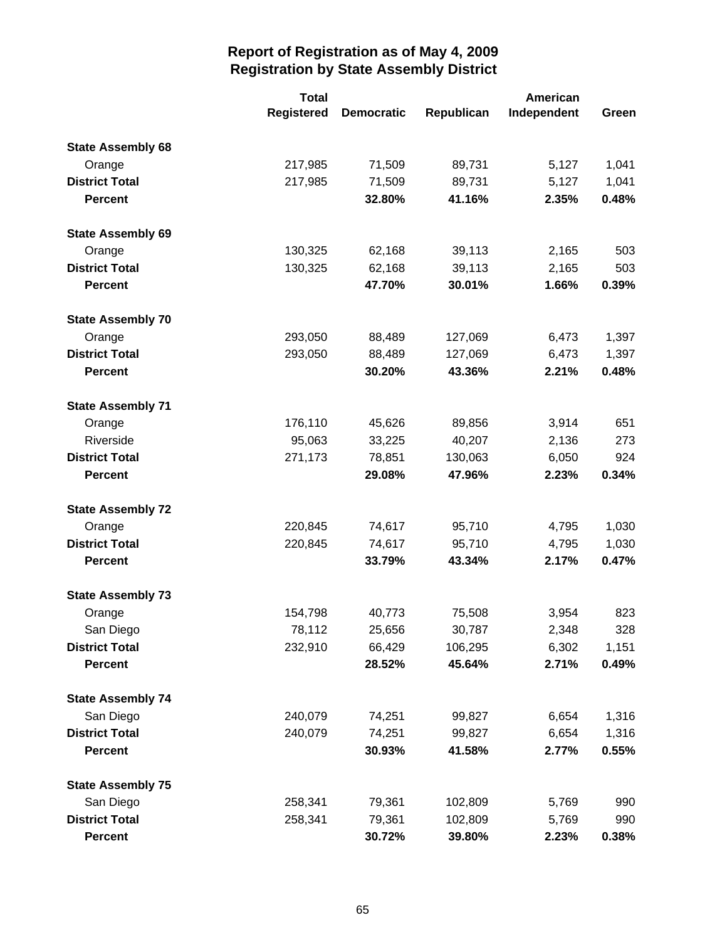|                          | <b>Total</b>      |                   |            | American    |       |
|--------------------------|-------------------|-------------------|------------|-------------|-------|
|                          | <b>Registered</b> | <b>Democratic</b> | Republican | Independent | Green |
| <b>State Assembly 68</b> |                   |                   |            |             |       |
| Orange                   | 217,985           | 71,509            | 89,731     | 5,127       | 1,041 |
| <b>District Total</b>    | 217,985           | 71,509            | 89,731     | 5,127       | 1,041 |
| <b>Percent</b>           |                   | 32.80%            | 41.16%     | 2.35%       | 0.48% |
| <b>State Assembly 69</b> |                   |                   |            |             |       |
| Orange                   | 130,325           | 62,168            | 39,113     | 2,165       | 503   |
| <b>District Total</b>    | 130,325           | 62,168            | 39,113     | 2,165       | 503   |
| <b>Percent</b>           |                   | 47.70%            | 30.01%     | 1.66%       | 0.39% |
| <b>State Assembly 70</b> |                   |                   |            |             |       |
| Orange                   | 293,050           | 88,489            | 127,069    | 6,473       | 1,397 |
| <b>District Total</b>    | 293,050           | 88,489            | 127,069    | 6,473       | 1,397 |
| <b>Percent</b>           |                   | 30.20%            | 43.36%     | 2.21%       | 0.48% |
| <b>State Assembly 71</b> |                   |                   |            |             |       |
| Orange                   | 176,110           | 45,626            | 89,856     | 3,914       | 651   |
| Riverside                | 95,063            | 33,225            | 40,207     | 2,136       | 273   |
| <b>District Total</b>    | 271,173           | 78,851            | 130,063    | 6,050       | 924   |
| <b>Percent</b>           |                   | 29.08%            | 47.96%     | 2.23%       | 0.34% |
| <b>State Assembly 72</b> |                   |                   |            |             |       |
| Orange                   | 220,845           | 74,617            | 95,710     | 4,795       | 1,030 |
| <b>District Total</b>    | 220,845           | 74,617            | 95,710     | 4,795       | 1,030 |
| <b>Percent</b>           |                   | 33.79%            | 43.34%     | 2.17%       | 0.47% |
| <b>State Assembly 73</b> |                   |                   |            |             |       |
| Orange                   | 154,798           | 40,773            | 75,508     | 3,954       | 823   |
| San Diego                | 78,112            | 25,656            | 30,787     | 2,348       | 328   |
| <b>District Total</b>    | 232,910           | 66,429            | 106,295    | 6,302       | 1,151 |
| <b>Percent</b>           |                   | 28.52%            | 45.64%     | 2.71%       | 0.49% |
| <b>State Assembly 74</b> |                   |                   |            |             |       |
| San Diego                | 240,079           | 74,251            | 99,827     | 6,654       | 1,316 |
| <b>District Total</b>    | 240,079           | 74,251            | 99,827     | 6,654       | 1,316 |
| <b>Percent</b>           |                   | 30.93%            | 41.58%     | 2.77%       | 0.55% |
| <b>State Assembly 75</b> |                   |                   |            |             |       |
| San Diego                | 258,341           | 79,361            | 102,809    | 5,769       | 990   |
| <b>District Total</b>    | 258,341           | 79,361            | 102,809    | 5,769       | 990   |
| <b>Percent</b>           |                   | 30.72%            | 39.80%     | 2.23%       | 0.38% |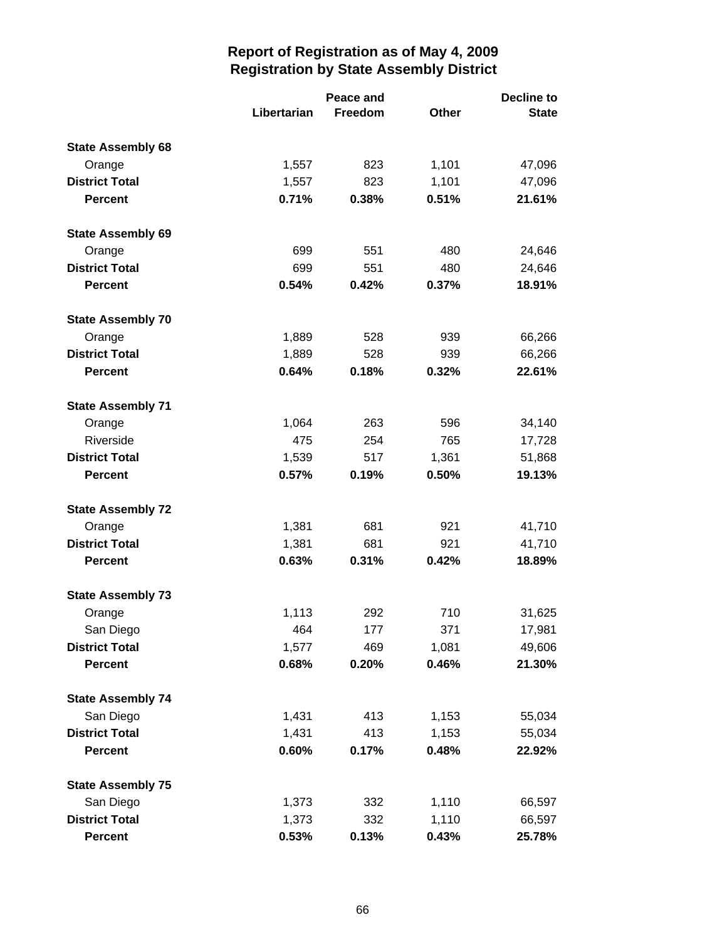|                          |             | Peace and |              | <b>Decline to</b> |  |
|--------------------------|-------------|-----------|--------------|-------------------|--|
|                          | Libertarian | Freedom   | <b>Other</b> | <b>State</b>      |  |
| <b>State Assembly 68</b> |             |           |              |                   |  |
| Orange                   | 1,557       | 823       | 1,101        | 47,096            |  |
| <b>District Total</b>    | 1,557       | 823       | 1,101        | 47,096            |  |
| <b>Percent</b>           | 0.71%       | 0.38%     | 0.51%        | 21.61%            |  |
| <b>State Assembly 69</b> |             |           |              |                   |  |
| Orange                   | 699         | 551       | 480          | 24,646            |  |
| <b>District Total</b>    | 699         | 551       | 480          | 24,646            |  |
| <b>Percent</b>           | 0.54%       | 0.42%     | 0.37%        | 18.91%            |  |
| <b>State Assembly 70</b> |             |           |              |                   |  |
| Orange                   | 1,889       | 528       | 939          | 66,266            |  |
| <b>District Total</b>    | 1,889       | 528       | 939          | 66,266            |  |
| <b>Percent</b>           | 0.64%       | 0.18%     | 0.32%        | 22.61%            |  |
| <b>State Assembly 71</b> |             |           |              |                   |  |
| Orange                   | 1,064       | 263       | 596          | 34,140            |  |
| Riverside                | 475         | 254       | 765          | 17,728            |  |
| <b>District Total</b>    | 1,539       | 517       | 1,361        | 51,868            |  |
| <b>Percent</b>           | 0.57%       | 0.19%     | 0.50%        | 19.13%            |  |
| <b>State Assembly 72</b> |             |           |              |                   |  |
| Orange                   | 1,381       | 681       | 921          | 41,710            |  |
| <b>District Total</b>    | 1,381       | 681       | 921          | 41,710            |  |
| <b>Percent</b>           | 0.63%       | 0.31%     | 0.42%        | 18.89%            |  |
| <b>State Assembly 73</b> |             |           |              |                   |  |
| Orange                   | 1,113       | 292       | 710          | 31,625            |  |
| San Diego                | 464         | 177       | 371          | 17,981            |  |
| <b>District Total</b>    | 1,577       | 469       | 1,081        | 49,606            |  |
| <b>Percent</b>           | 0.68%       | 0.20%     | 0.46%        | 21.30%            |  |
| <b>State Assembly 74</b> |             |           |              |                   |  |
| San Diego                | 1,431       | 413       | 1,153        | 55,034            |  |
| <b>District Total</b>    | 1,431       | 413       | 1,153        | 55,034            |  |
| <b>Percent</b>           | 0.60%       | 0.17%     | 0.48%        | 22.92%            |  |
| <b>State Assembly 75</b> |             |           |              |                   |  |
| San Diego                | 1,373       | 332       | 1,110        | 66,597            |  |
| <b>District Total</b>    | 1,373       | 332       | 1,110        | 66,597            |  |
| <b>Percent</b>           | 0.53%       | 0.13%     | 0.43%        | 25.78%            |  |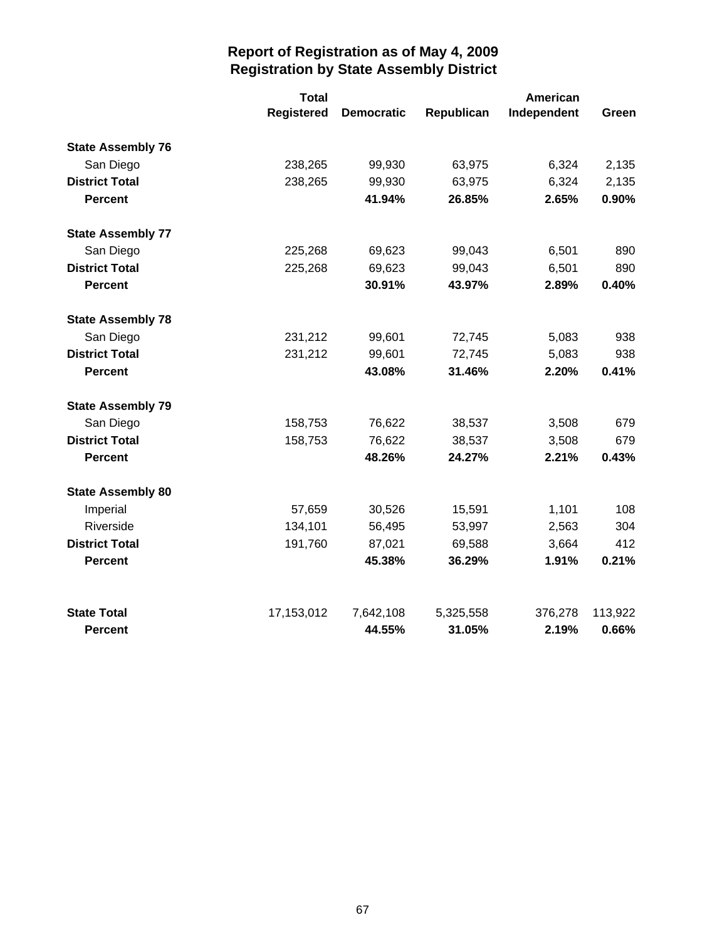|                          | <b>Total</b>      |                   |            | American    |         |  |
|--------------------------|-------------------|-------------------|------------|-------------|---------|--|
|                          | <b>Registered</b> | <b>Democratic</b> | Republican | Independent | Green   |  |
| <b>State Assembly 76</b> |                   |                   |            |             |         |  |
| San Diego                | 238,265           | 99,930            | 63,975     | 6,324       | 2,135   |  |
| <b>District Total</b>    | 238,265           | 99,930            | 63,975     | 6,324       | 2,135   |  |
| <b>Percent</b>           |                   | 41.94%            | 26.85%     | 2.65%       | 0.90%   |  |
| <b>State Assembly 77</b> |                   |                   |            |             |         |  |
| San Diego                | 225,268           | 69,623            | 99,043     | 6,501       | 890     |  |
| <b>District Total</b>    | 225,268           | 69,623            | 99,043     | 6,501       | 890     |  |
| <b>Percent</b>           |                   | 30.91%            | 43.97%     | 2.89%       | 0.40%   |  |
| <b>State Assembly 78</b> |                   |                   |            |             |         |  |
| San Diego                | 231,212           | 99,601            | 72,745     | 5,083       | 938     |  |
| <b>District Total</b>    | 231,212           | 99,601            | 72,745     | 5,083       | 938     |  |
| <b>Percent</b>           |                   | 43.08%            | 31.46%     | 2.20%       | 0.41%   |  |
| <b>State Assembly 79</b> |                   |                   |            |             |         |  |
| San Diego                | 158,753           | 76,622            | 38,537     | 3,508       | 679     |  |
| <b>District Total</b>    | 158,753           | 76,622            | 38,537     | 3,508       | 679     |  |
| <b>Percent</b>           |                   | 48.26%            | 24.27%     | 2.21%       | 0.43%   |  |
| <b>State Assembly 80</b> |                   |                   |            |             |         |  |
| Imperial                 | 57,659            | 30,526            | 15,591     | 1,101       | 108     |  |
| Riverside                | 134,101           | 56,495            | 53,997     | 2,563       | 304     |  |
| <b>District Total</b>    | 191,760           | 87,021            | 69,588     | 3,664       | 412     |  |
| <b>Percent</b>           |                   | 45.38%            | 36.29%     | 1.91%       | 0.21%   |  |
| <b>State Total</b>       | 17,153,012        | 7,642,108         | 5,325,558  | 376,278     | 113,922 |  |
| <b>Percent</b>           |                   | 44.55%            | 31.05%     | 2.19%       | 0.66%   |  |